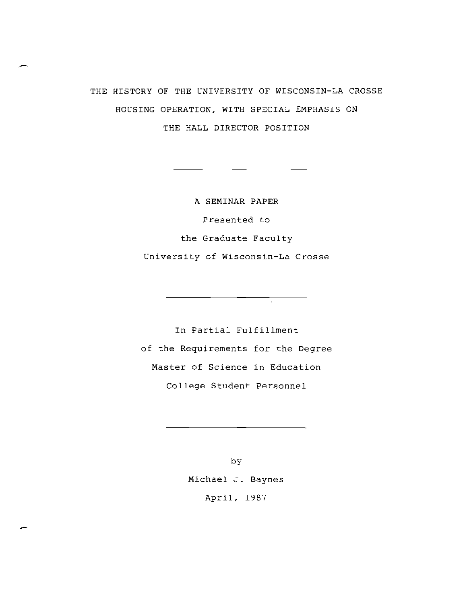# THE HISTORY OF THE UNIVERSITY OF WISCONSIN-LA CROSSE HOUSING OPERATION, WITH SPECIAL EMPHASIS ON THE HALL DIRECTOR POSITION

A SEMINAR PAPER Presented to the Graduate Faculty University of Wisconsin-La Crosse

In Partial Fulfillment of the Requirements for the Degree Master of Science in Education College Student Personnel

 $\frac{1}{\sqrt{2}}$ 

by Michael J. Baynes April, 1987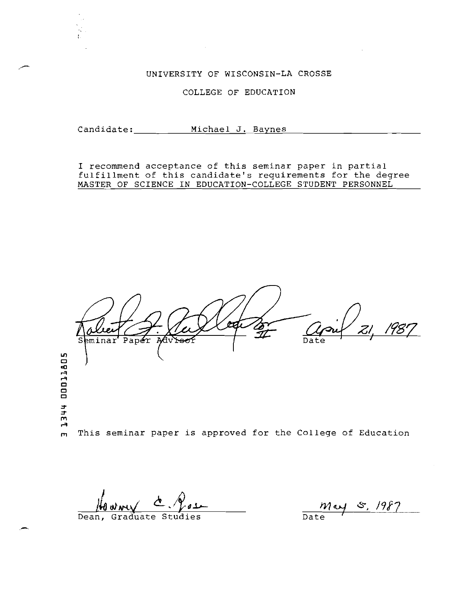### UNIVERSITY OF WISCONSIN-LA CROSSE

#### COLLEGE OF EDUCATION

Candidate: \_\_\_\_\_\_\_\_\_\_ Michael J. Baynes

I recommend acceptance of this seminar paper in partial fulfillment of this candidate's requirements for the degree MASTER OF SCIENCE IN EDUCATION-COLLEGE STUDENT PERSONNEL

Paper Seminar Adviso Date ,." .... ,." This seminar paper is approved for the College of Education

Dean, Graduate Studi

.

may 5, 1987  $\frac{1}{\text{Date}}$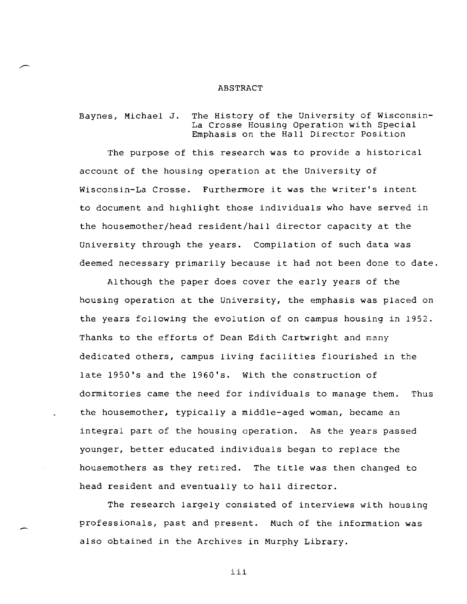#### ABSTRACT

Baynes, Michael J. The History of the University of Wisconsin-La Crosse Housing Operation with Special Emphasis on the Hall Director Position

The purpose of this research was to provide a historical account of the housing operation at the University of Wisconsin-La Crosse. Furthermore it was the writer's intent to document and highlight those individuals who have served in the housemother/head resident/hall director capacity at the University through the years. Compilation of such data was deemed necessary primarily because it had not been done to date.

Although the paper does cover the early years of the housing operation at the University, the emphasis was placed on the years following the evolution of on campus housing in 1952. Thanks to the efforts of Dean Edith Cartwright and many dedicated others, campus living facilities flourished in the late 1950's and the 1960's. With the construction of dormitories came the need for individuals to manage them. Thus the housemother, typically a middle-aged woman, became an integral part of the housing operation. As the years passed younger, better educated individuals began to replace the housemothers as they retired. The title was then changed to head resident and eventually to hall director.

The research largely consisted of interviews with housing professionals, past and present. Much of the information was also obtained in the Archives in Murphy Library.

**iii**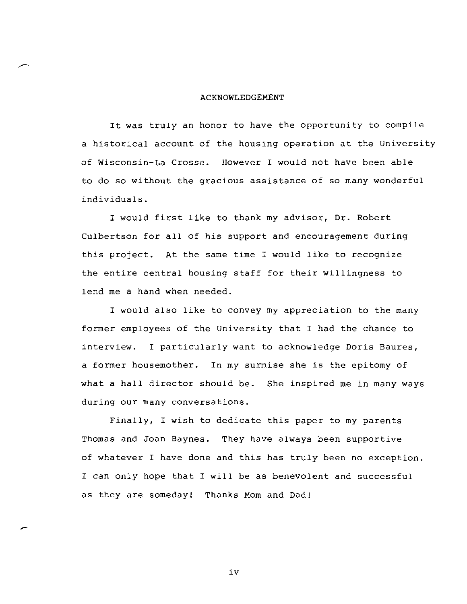#### ACKNOWLEDGEMENT

It was truly an honor to have the opportunity to compile a historical account of the housing operation at the University of Wisconsin-La Crosse. However I would not have been able to do so without the gracious assistance of so many wonderful individuals.

I would first like to thank my advisor, Dr. Robert CUlbertson for all of his support and encouragement during this project. At the same time I would like to recognize the entire central housing staff for their willingness to lend me a hand when needed.

I would also like to convey my appreciation to the many former employees of the University that I had the chance to interview. I particularly want to acknowledge Doris Baures, a former housemother. In my surmise she is the epitomy of what a hall director should be. She inspired me in many ways during our many conversations.

Finally, I wish to dedicate this paper to my parents Thomas and Joan Baynes. They have always been supportive of whatever I have done and this has truly been no exception. I can only hope that I will be as benevolent and successful as they are someday! Thanks Mom and Dad!

iv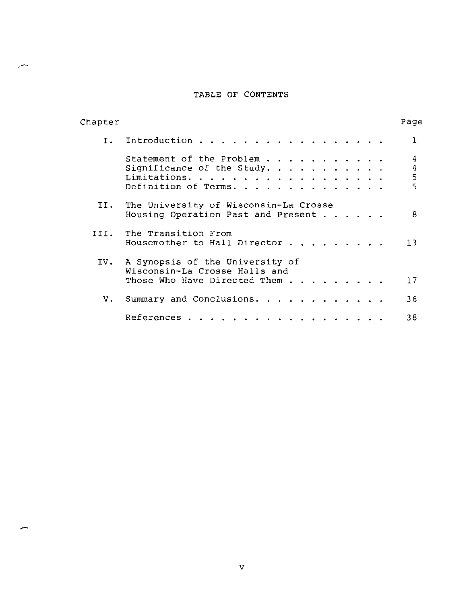#### TABLE OF CONTENTS

 $\sim 10^7$ 

| Chapter        |                                                                                                      | Page                                   |
|----------------|------------------------------------------------------------------------------------------------------|----------------------------------------|
| $\mathbf{I}$ . | Introduction                                                                                         | 1                                      |
|                | Statement of the Problem<br>Significance of the Study.<br>Limitations.<br>Definition of Terms.       | 4<br>$\boldsymbol{4}$<br>$\frac{5}{5}$ |
| II.            | The University of Wisconsin-La Crosse<br>Housing Operation Past and Present $\cdots$                 | 8                                      |
|                | III. The Transition From<br>Housemother to Hall Director                                             | 13                                     |
|                | IV. A Synopsis of the University of<br>Wisconsin-La Crosse Halls and<br>Those Who Have Directed Them | 17                                     |
| $V_{\star}$    | Summary and Conclusions.                                                                             | 36                                     |
|                | References.                                                                                          | 38                                     |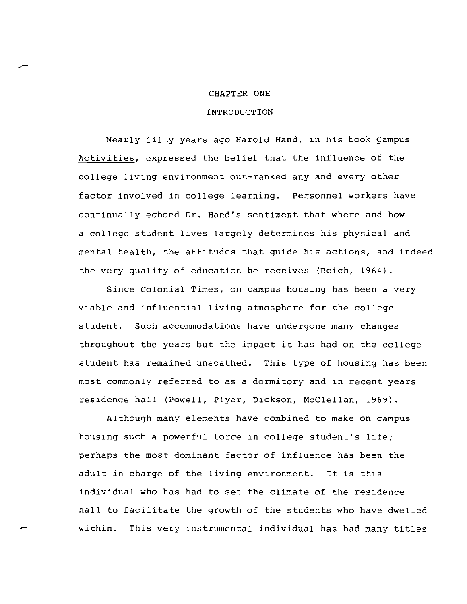#### CHAPTER ONE

#### INTRODUCTION

Nearly fifty years ago Harold Hand, in his book Campus Activities, expressed the belief that the influence of the college living environment out-ranked any and every other factor involved in college learning. Personnel workers have continually echoed Dr. Hand's sentiment that where and how a college student lives largely determines his physical and mental health, the attitudes that guide his actions, and indeed the very quality of education he receives (Reich, 1964).

Since Colonial Times, on campus housing has been a very viable and influential living atmosphere for the college student. Such accommodations have undergone many changes throughout the years but the impact it has had on the college student has remained unscathed. This type of housing has been most commonly referred to as a dormitory and in recent years residence hall (Powell, Plyer, Dickson, McClellan, 1969).

Although many elements have combined to make on campus housing such a powerful force in cOllege student's life; perhaps the most dominant factor of influence has been the adult in charge of the living environment. It is this individual who has had to set the climate of the residence hall to facilitate the growth of the students who have dwelled within. This very instrumental individual has had many titles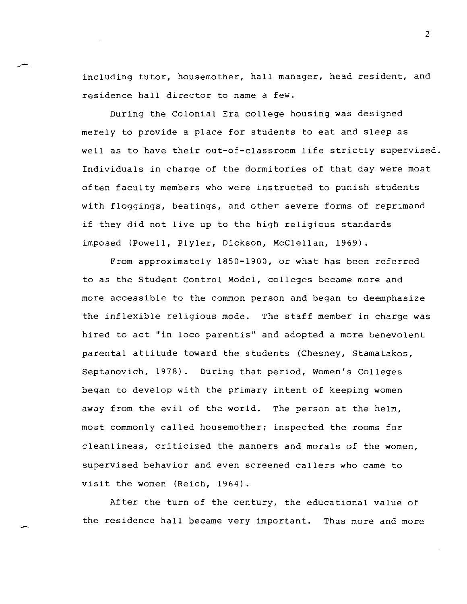including tutor, housemother, hall manager, head resident, and residence hall director to name a few.

During the Colonial Era college housing was designed merely to provide a place for students to eat and sleep as well as to have their out-of-classroom life strictly supervised. Individuals in charge of the dormitories of that day were most often faculty members who were instructed to punish students with floggings, beatings, and other severe forms of reprimand if they did not live up to the high religious standards imposed (Powell, Plyler, Dickson, McClellan, 1969).

From approximately 1850-1900, or what has been referred to as the Student Control Model, colleges became more and more accessible to the common person and began to deemphasize the inflexible religious mode. The staff member in charge was hired to act "in loco parentis" and adopted a more benevolent parental attitude toward the students (Chesney, Stamatakos, Septanovich, 1978). During that period, Women's Colleges began to develop with the primary intent of keeping women away from the evil of the world. The person at the helm, most commonly called housemother; inspected the rooms for cleanliness, criticized the manners and morals of the women, supervised behavior and even screened callers who came to visit the women (Reich, 1964).

After the turn of the century, the educational value of the residence hall became very important. Thus more and more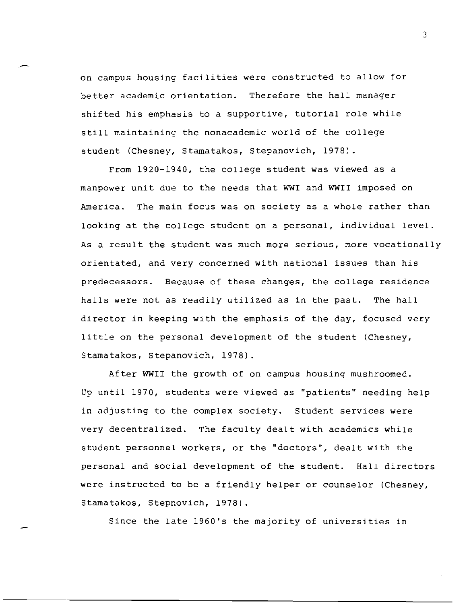on campus housing facilities were constructed to allow for better academic orientation. Therefore the hall manager shifted his emphasis to a supportive, tutorial role while still maintaining the nonacademic world of the college student (Chesney, Stamatakos, Stepanovich, 1978).

From 1920-1940, the cOllege student was viewed as a manpower unit due to the needs that WWI and WWII imposed on America. The main focus was on society as a whole rather than looking at the college student on a personal, individual level. As a result the student was much more serious, more vocationally orientated, and very concerned with national issues than his predecessors. Because of these changes, the college residence halls were not as readily utilized as in the past. The hall director in keeping with the emphasis of the day, focused very little on the personal development of the student (Chesney, Stamatakos, Stepanovich, 1978).

After WWII the growth of on campus housing mushroomed. Up until 1970, students were viewed as "patients" needing help in adjusting to the complex society. Student services were very decentralized. The faculty dealt with academics while student personnel workers, or the "doctors", dealt with the personal and social development of the student. Hall directors were instructed to be a friendly helper or counselor (Chesney, Stamatakos, Stepnovich, 1978).

Since the late 1960's the majority of universities in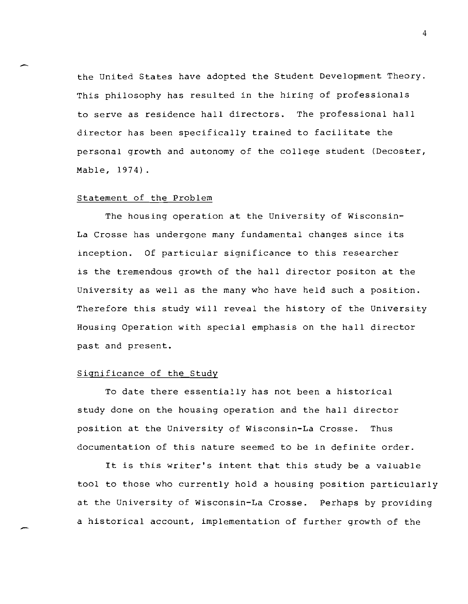the United States have adopted the Student Development Theory. This philosophy has resulted in the hiring of professionals to serve as residence hall directors. The professional hall director has been specifically trained to facilitate the personal growth and autonomy of the cOllege student (Decoster, Mable, 1974).

#### Statement of the Problem

The housing operation at the University of Wisconsin-La Crosse has undergone many fundamental changes since its inception. Of particular significance to this researcher is the tremendous growth of the hall director positon at the University as well as the many who have held such a position. Therefore this study will reveal the history of the University Housing Operation with special emphasis on the hall director past and present.

#### Significance of the Study

To date there essentially has not been a historical study done on the housing operation and the hall director position at the University of Wisconsin-La Crosse. Thus documentation of this nature seemed to be in definite order.

It is this writer's intent that this study be a valuable tool to those who currently hold a housing position particularly at the University of Wisconsin-La Crosse. Perhaps by providing a historical account, implementation of further growth of the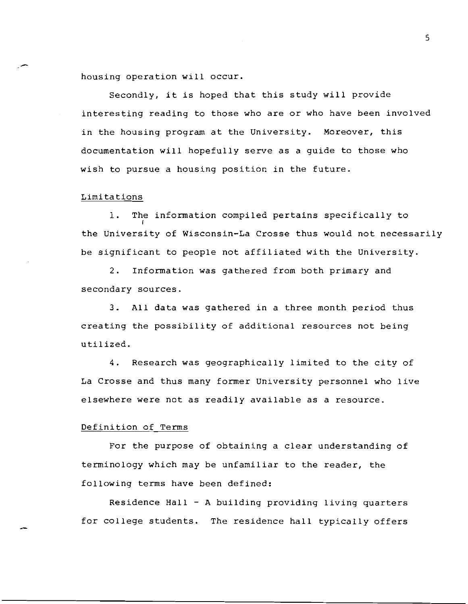housing operation will occur.

Secondly, it is hoped that this study will provide interesting reading to those who are or who have been involved in the housing program at the University. Moreover, this documentation will hopefully serve as a quide to those who wish to pursue a housing position in the future.

#### Limitations

1. The information compiled pertains specifically to I the University of Wisconsin-La Crosse thus would not necessarily be significant to people not affiliated with the University.

2. Information was gathered from both primary and secondary sources.

3. All data was gathered in a three month period thus creating the possibility of additional resources not being utilized.

4. Research was geographically limited to the city of La Crosse and thus many former University personnel who live elsewhere were not as readily available as a resource.

#### Definition of Terms

For the purpose of obtaining a clear understanding of terminology which may be unfamiliar to the reader, the fOllowing terms have been defined:

Residence Hall  $-$  A building providing living quarters for COllege students. The residence hall typically offers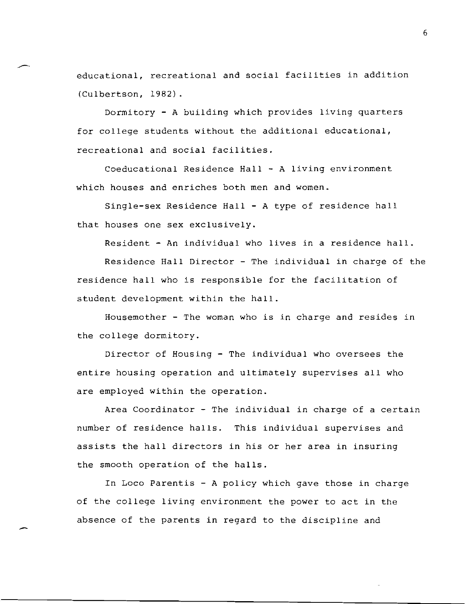educational, recreational and social facilities in addition (Culbertson, 1982).

Dormitory - A building which provides living quarters for college students without the additional educational, recreational and social facilities.

Coeducational Residence Hall - A living environment which houses and enriches both men and women.

Single-sex Residence Hall - A type of residence hall that houses one sex exclusively.

Resident - An individual who lives in a residence hall.

Residence Hall Director - The individual in charge of the residence hall who is responsible for the facilitation of student development within the hall.

Housemother - The woman who is in charge and resides in the college dormitory.

Director of Housing - The individual who oversees the entire housing operation and ultimately supervises all who are employed within the operation.

Area Coordinator - The individual in charge of a certain number of residence halls. This individual supervises and assists the hall directors in his or her area in insuring the smooth operation of the halls.

In Loco Parentis - A policy which gave those in charge of the college living environment the power to act in the absence of the parents in regard to the discipline and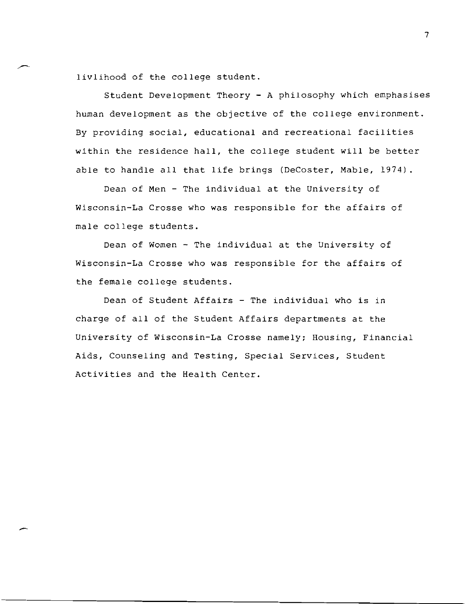livlihood of the college student.

Student Development Theory - A philosophy which emphasises human development as the objective of the college environment. By providing social, educational and recreational facilities within the residence hall, the college student will be better able to handle all that life brings (DeCoster, Mable, 1974).

Dean of Men - The individual at the University of Wisconsin-La Crosse who was responsible for the affairs of male college students.

Dean of Women - The individual at the University of Wisconsin-La Crosse who was responsible for the affairs of the female college students.

Dean of Student Affairs - The individual who is in charge of all of the Student Affairs departments at the University of Wisconsin-La Crosse namely; Housing, Financial Aids, Counseling and Testing, Special Services, Student Activities and the Health Center.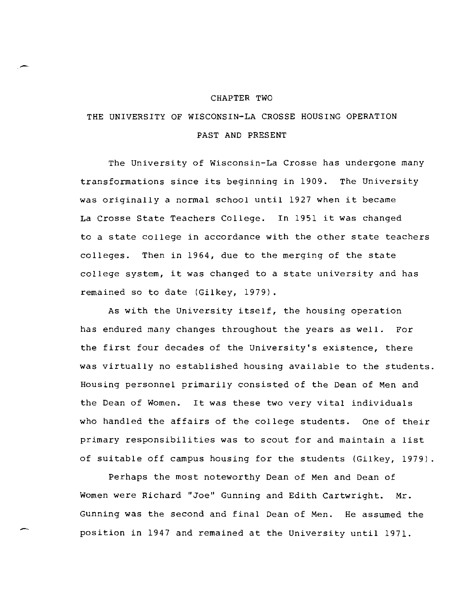#### CHAPTER TWO

## THE UNIVERSITY OF WISCONSIN-LA CROSSE HOUSING OPERATION PAST AND PRESENT

The University of Wisconsin-La Crosse has undergone many transformations since its beginning in 1909. The University was originally a normal school until 1927 when it became La Crosse State Teachers COllege. In 1951 it was changed to a state cOllege in accordance with the other state teachers colleges. Then in 1964, due to the merging of the state college system, it was changed to a state university and has remained so to date (Gilkey, 1979).

As with the University itself, the housing operation has endured many changes throughout the years as well. For the first four decades of the University's existence, there was virtually no established housing available to the students. Housing personnel primarily consisted of the Dean of Men and the Dean of Women. It was these two very vital individuals who handled the affairs of the college students. One of their primary responsibilities was to scout for and maintain a list of suitable off campus housing for the students (Gilkey, 1979)

Perhaps the most noteworthy Dean of Men and Dean of Women were Richard "Joe" Gunning and Edith Cartwright. Mr. Gunning was the second and final Dean of Men. He assumed the position in 1947 and remained at the University until 1971.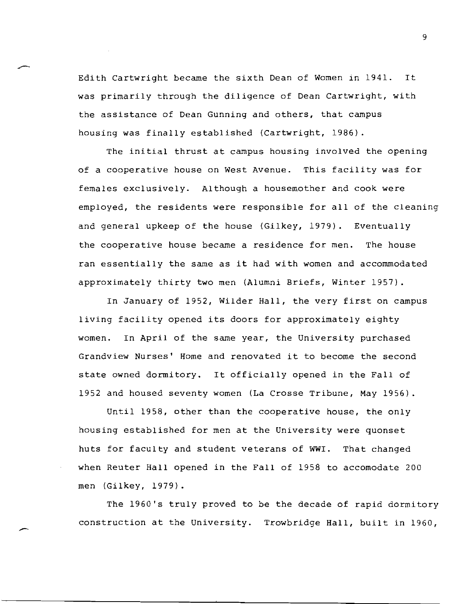Edith Cartwright became the sixth Dean of Women in 1941. It was primarily through the diligence of Dean Cartwright, with the assistance of Dean Gunning and others, that campus housing was finally established (Cartwright, 1986).

The initial thrust at campus housing involved the opening of a cooperative house on West Avenue. This facility was for females exclusively. Although a housemother and cook were employed, the residents were responsible for all of the cleaning and general upkeep of the house (Gilkey, 1979). Eventually the cooperative house became a residence for men. The house ran essentially the same as it had with women and accommodated approximately thirty two men (Alumni Briefs, Winter 1957).

In January of 1952, Wilder Hall, the very first on campus living facility opened its doors for approximately eighty women. In April of the same year, the University purchased Grandview Nurses' Home and renovated it to become the second state owned dormitory. It officially opened in the Fall of 1952 and housed seventy women (La Crosse Tribune, May 1956).

Until 1958, other than the cooperative house, the only housing established for men at the University were quonset huts for faculty and student veterans of WWI. That changed when Reuter Hall opened in the Fall of 1958 to accomodate 200 men (Gilkey, 1979).

The 1960's truly proved to be the decade of rapid dormitory construction at the University. Trowbridge Hall, built in 1960,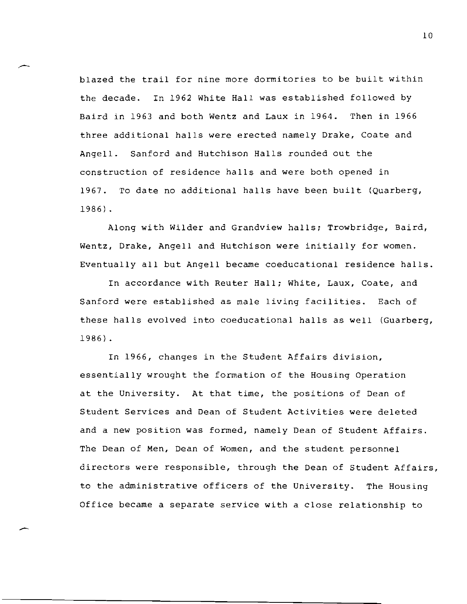blazed the trail for nine more dormitories to be built within the decade. In 1962 White Hall was established followed by Baird in 1963 and both Wentz and Laux in 1964. Then in 1966 three additional halls were erected namely Drake, Coate and Angell. Sanford and Hutchison Halls rounded out the construction of residence halls and were both opened in 1967. To date no additional halls have been built (Quarberg, 1986) .

Along with Wilder and Grandview halls; Trowbridge, Baird, Wentz, Drake, Angell and Hutchison were initially for women. Eventually all but Angell became coeducational residence halls.

In accordance with Reuter Hall; White, Laux, Coate, and Sanford were established as male living facilities. Each of these halls evolved into coeducational halls as well (Guarberg, 1986).

In 1966, changes in the Student Affairs division, essentially wrought the formation of the Housing Operation at the University. At that time, the positions of Dean of Student Services and Dean of Student Activities were deleted and a new position was formed, namely Dean of Student Affairs. The Dean of Men, Dean of Women, and the student personnel directors were responsible, through the Dean of Student Affairs, to the administrative officers of the University. The Housing Office became a separate service with a close relationship to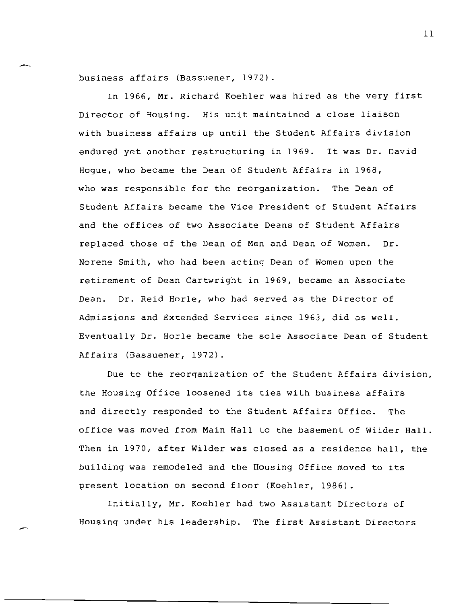business affairs (Bassuener, 1972).

In 1966, Mr. Richard Koehler was hired as the very first Director of Housing. His unit maintained a close liaison with business affairs up until the Student Affairs division endured yet another restructuring in 1969. It was Dr. David Hogue, who became the Dean of Student Affairs in 1968, who was responsible for the reorganization. The Dean of Student Affairs became the Vice President of Student Affairs and the offices of two Associate Deans of Student Affairs replaced those of the Dean of Men and Dean of Women. Dr. Norene Smith, who had been acting Dean of Women upon the retirement of Dean Cartwright in 1969, became an Associate Dean. Dr. Reid Horle, who had served as the Director of Admissions and Extended Services since 1963, did as well. Eventually Dr. Horle became the sole Associate Dean of Student Affairs (Bassuener, 1972).

Due to the reorganization of the Student Affairs division, the Housing Office loosened its ties with business affairs and directly responded to the Student Affairs Office. The office was moved from Main Hall to the basement of Wilder Hall. Then in 1970, after Wilder was closed as a residence hall, the building was remodeled and the Housing Office moved to its present location on second floor (Koehler, 1986).

Initially, Mr. Koehler had two Assistant Directors of Housing under his leadership. The first Assistant Directors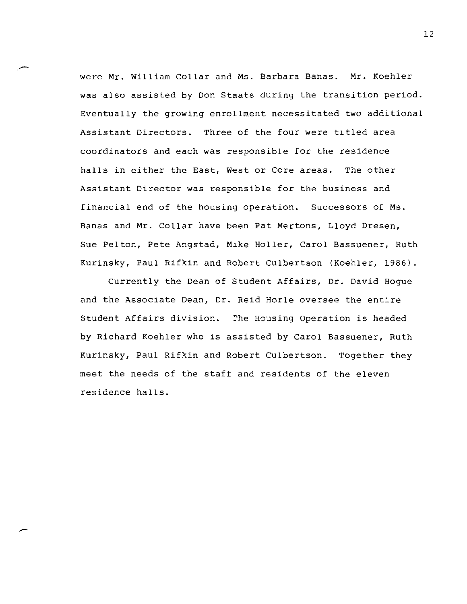were Mr. William Collar and Ms. Barbara Banas. Mr. Koehler was also assisted by Don Staats during the transition period. Eventually the growing enrollment necessitated two additional Assistant Directors. Three of the four were titled area coordinators and each was responsible for the residence halls in either the East, West or Core areas. The other Assistant Director was responsible for the business and financial end of the housing operation. Successors of Ms. Banas and Mr. Collar have been Pat Mertons, Lloyd Dresen, Sue Pelton, Pete Angstad, Mike Holler, Carol Bassuener, Ruth Kurinsky, Paul Rifkin and Robert CUlbertson (Koehler, 1986).

Currently the Dean of Student Affairs, Dr. David Hogue and the Associate Dean, Dr. Reid Horle oversee the entire Student Affairs division. The Housing Operation is headed by Richard Koehler who is assisted by Carol Bassuener, Ruth Kurinsky, Paul Rifkin and Robert CUlbertson. Together they meet the needs of the staff and residents of the eleven residence halls.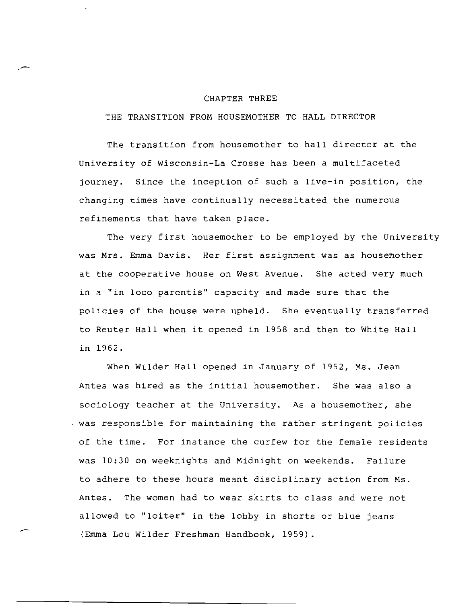#### CHAPTER THREE

THE TRANSITION FROM HOUSEMOTHER TO HALL DIRECTOR

The transition from housemother to hall director at the University of Wisconsin-La Crosse has been a multifaceted journey. Since the inception of such a live-in position, the changing times have continually necessitated the numerous refinements that have taken place.

The very first housemother to be employed by the University was Mrs. Emma Davis. Her first assignment was as housemother at the cooperative house on West Avenue. She acted very much in a "in loco parentis" capacity and made sure that the policies of the house were upheld. She eventually transferred to Reuter Hall when it opened in 1958 and then to White Hall in 1962.

When Wilder Hall opened in January of 1952, Ms. Jean Antes was hired as the initial housemother. She was also a sociology teacher at the University. As a housemother, she was responsible for maintaining the rather stringent policies of the time. For instance the curfew for the female residents was 10:30 on weeknights and Midnight on weekends. Failure to adhere to these hours meant disciplinary action from Ms. Antes. The women had to wear skirts to class and were not allowed to "loiter" in the lobby in shorts or blue jeans (Emma Lou Wilder Freshman Handbook, 1959).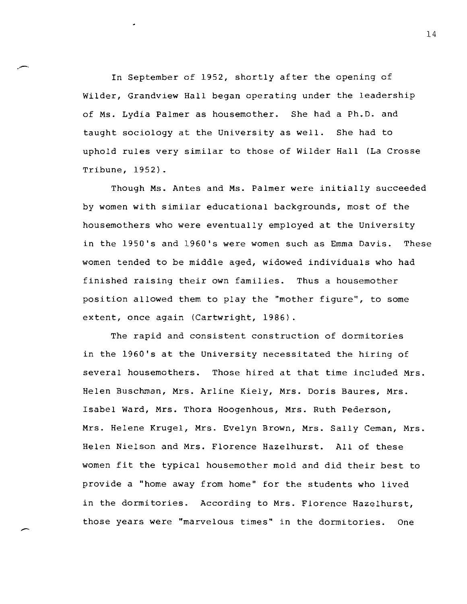In September of 1952, shortly after the opening of Wilder, Grandview Hall began operating under the leadership of Ms. Lydia Palmer as housemother. She had a Ph.D. and taught sociology at the University as well. She had to uphold rules very similar to those of Wilder Hall (La Crosse Tribune, 1952).

Though Ms. Antes and Ms. Palmer were initially succeeded by women with similar educational backgrounds, most of the housemothers who were eventually employed at the University in the 1950's and 1960's were women such as Emma Davis. These women tended to be middle aged, widowed individuals who had finished raising their own families. Thus a housemother position allowed them to play the "mother figure", to some extent, once again (Cartwright, 1986).

The rapid and consistent construction of dormitories in the 1960's at the University necessitated the hiring of several housemothers. Those hired at that time included Mrs. Helen Buschman, Mrs. Arline Kiely, Mrs. Doris Baures, Mrs. Isabel Ward, Mrs. Thora Hoogenhous, Mrs. Ruth Pederson, Mrs. Helene Krugel, Mrs. Evelyn Brown, Mrs. Sally Ceman, Mrs. Helen Nielson and Mrs. Florence Hazelhurst. All of these women fit the typical housemother mold and did their best to provide a "home away from home" for the students who lived in the dormitories. According to Mrs. Florence Hazelhurst, those years were "marvelous times" in the dormitories. One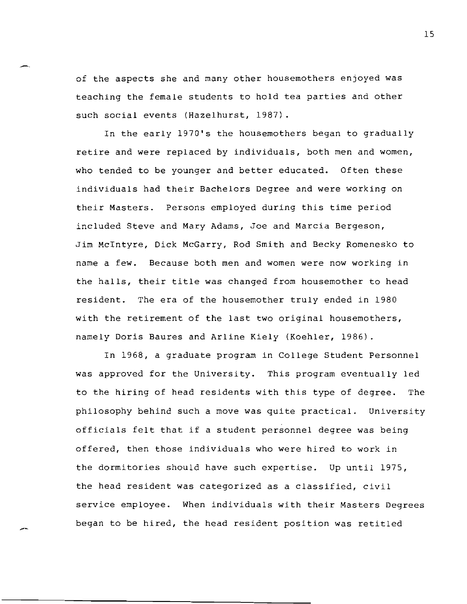of the aspects she and many other housemothers enjoyed was teaching the female students to hold tea parties and other such social events (Hazelhurst, 1987).

In the early 1970's the housemothers began to gradually retire and were replaced by individuals, both men and women, who tended to be younger and better educated. Often these individuals had their Bachelors Degree and were working on their Masters. Persons employed during this time period included Steve and Mary Adams, Joe and Marcia Bergeson, Jim McIntyre, Dick McGarry, Rod Smith and Becky Romenesko to name a few. Because both men and women were now working in the halls, their title was changed from housemother to head resident. The era of the housemother truly ended in 1980 with the retirement of the last two original housemothers, namely Doris Saures and Arline Kiely (Koehler, 1986).

In 1968, a graduate program in College Student Personnel was approved for the University. This program eventually led to the hiring of head residents with this type of degree. The philosophy behind such a move was quite practical. University officials felt that if a student personnel degree was being offered, then those individuals who were hired to work in the dormitories should have such expertise. Up until 1975, the head resident was categorized as a classified, civil service employee. When individuals with their Masters Degrees began to be hired, the head resident position was retitled

--

 $\overline{\phantom{a}}$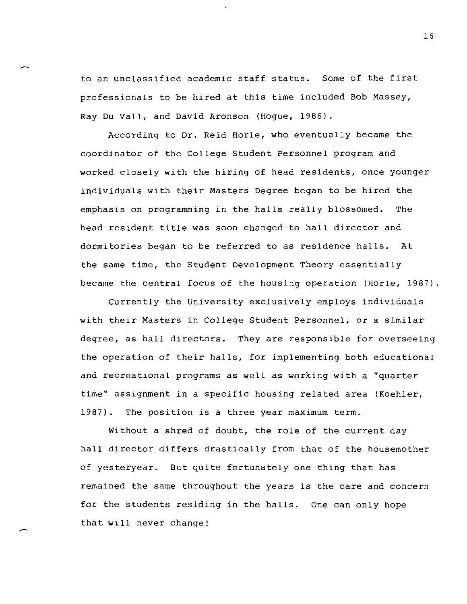to an unclassified academic staff status. Some of the first professionals to be hired at this time included Bob Massey, Ray Du Vall, and David Aronson (Hogue, 1986).

According to Dr. Reid Horle, who eventually became the coordinator of the College Student Personnel program and worked closely with the hiring of head residents, once younger individuals with their Masters Degree began to be hired the emphasis on programming in the halls really blossomed. The head resident title was soon changed to hall director and dormitories began to be referred to as residence halls. At the same time, the Student Development Theory essentially became the central focus of the housing operation (Horle, 1987).

Currently the University exclusively employs individuals with their Masters in College Student Personnel, or a similar degree, as hall directors. They are responsible for overseeing the operation of their halls, for implementing both educational and recreational programs as well as working with a "quarter time" assignment in a specific housing related area (Koehler, 1987). The position is a three year maximum term.

Without a shred of doubt, the role of the current day hall director differs drastically from that of the housemother of yesteryear. But quite fortunately one thing that has remained the same throughout the years is the care and concern for the students residing in the halls. One can only hope that will never change!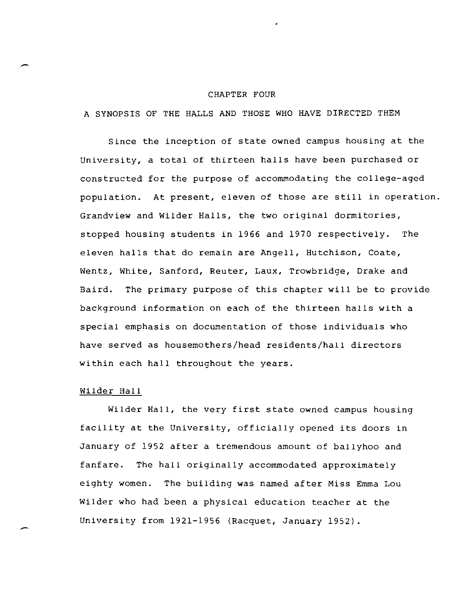#### CHAPTER FOUR

A SYNOPSIS OF THE HALLS AND THOSE WHO HAVE DIRECTED THEM

Since the inception of state owned campus housing at the University, a total of thirteen halls have been purchased or constructed for the purpose of accommodating the college-aged population. At present, eleven of those are still in operation. Grandview and Wilder Halls, the two original dormitories, stopped housing students in 1966 and 1970 respectively. The eleven halls that do remain are Angell, Hutchison, Coate, Wentz, White, Sanford, Reuter, Laux, Trowbridge, Drake and Baird. The primary purpose of this chapter will be to provide background information on each of the thirteen halls with a special emphasis on documentation of those individuals who have served as housemothers/head residents/hall directors within each hall throughout the years.

#### Wilder Hall

Wilder Hall, the very first state owned campus housing facility at the University, officially opened its doors in January of 1952 after a tremendous amount of ballyhoo and fanfare. The hall originally accommodated approximately eighty women. The building was named after Miss Emma Lou Wilder who had been a physical education teacher at the University from 1921-1956 (Racquet, January 1952).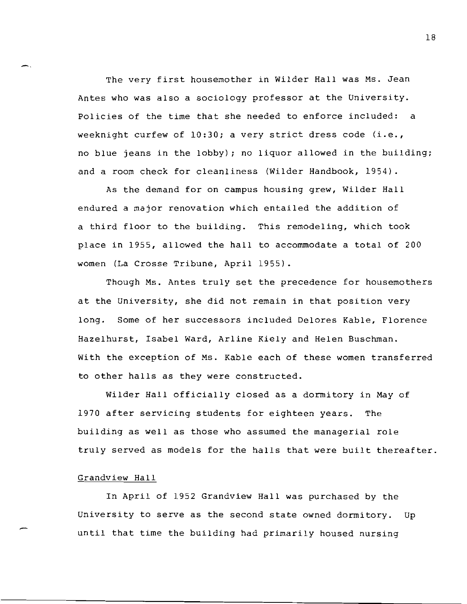The very first housemother in Wilder Hall was Ms. Jean Antes who was also a sociology professor at the University. Policies of the time that she needed to enforce included: a weeknight curfew of 10:30; a very strict dress code (i.e., no blue jeans in the lobby); no liquor allowed in the building; and a room check for cleanliness (Wilder Handbook, 1954).

As the demand fOr on campus housing grew, Wilder Hall endured a major renovation which entailed the addition of a third floor to the building. This remodeling, which took place in 1955, allowed the hall to accommodate a total of 200 women (La Crosse Tribune, April 1955).

Though Ms. Antes truly set the precedence for housemothers at the University, she did not remain in that position very long. Some of her successors included Delores Kable, Florence Hazelhurst, Isabel Ward, Arline Kiely and Helen Buschman. With the exception of Ms. Kable each of these women transferred to other halls as they were constructed.

Wilder Hall officially closed as a dormitory in May of 1970 after servicing students for eighteen years. The building as well as those who assumed the managerial role truly served as models for the halls that were built thereafter.

#### Grandview Hall

-.

In April of 1952 Grandview Hall was purchased by the University to serve as the second state owned dormitory. Up until that time the building had primarily housed nursing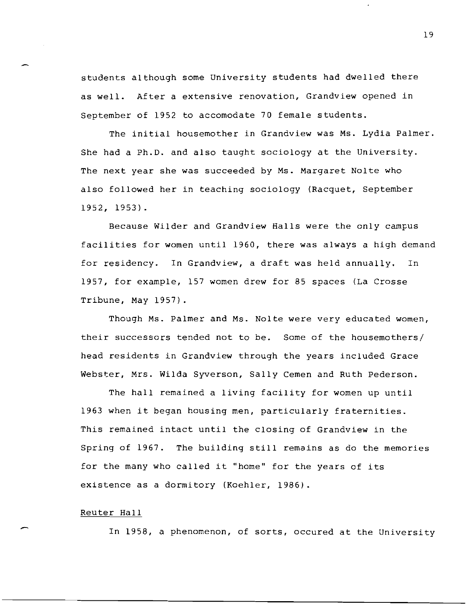students although some University students had dwelled there as well. After a extensive renovation, Grandview opened in September of 1952 to accomodate 70 female students.

The initial housemother in Grandview was Ms. Lydia Palmer. She had a Ph.D. and also taught sociology at the University. The next year she was succeeded by Ms. Margaret Nolte who also followed her in teaching sociology (Racquet, September 1952, 1953).

Because Wilder and Grandview Halls were the only campus facilities for women until 1960, there was always a high demand for residency. In Grandview, a draft was held annually. In 1957, for example, 157 women drew for 85 spaces (La Crosse Tribune, May 1957).

Though Ms. Palmer and Ms. Nolte were very educated women, their successors tended not to be. Some of the housemothers/ head residents in Grandview through the years included Grace Webster, Mrs. Wilda Syverson, Sally Cemen and Ruth Pederson.

The hall remained a living facility for women up until 1963 when it began housing men, particularly fraternities. This remained intact until the closing of Grandview in the Spring of 1967. The building still remains as do the memories for the many who called it "home" for the years of its existence as a dormitory (Koehler, 1986).

#### Reuter Hall

In 1958, a phenomenon, of sorts, occured at the University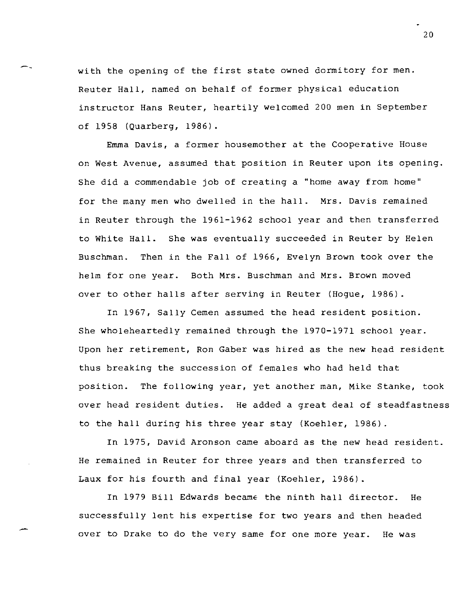with the opening of the first state owned dormitory for men. Reuter Hall, named on behalf of former physical education instructor Hans Reuter, heartily welcomed 200 men in September of 1958 (Quarberg, 1986).

--

Emma Davis, a former housemother at the Cooperative House on West Avenue, assumed that position in Reuter upon its opening. She did a commendable job of creating a "home away from home" for the many men who dwelled in the hall. Mrs. Davis remained in Reuter through the 1961-1962 school year and then transferred to White Hall. She was eventually succeeded in Reuter by Helen Buschman. Then in the Fall of 1966, Evelyn Brown took over the helm for one year. Both Mrs. Buschman and Mrs. Brown moved over to other halls after serving in Reuter (Hogue, 1986).

In 1967, Sally Cemen assumed the head resident position. She wholeheartedly remained through the 1970-1971 school year. Upon her retirement, Ron Gaber was hired as the new head resident thus breaking the succession of females who had held that position. The following year, yet another man, Mike Stanke, took over head resident duties. He added a great deal of steadfastness to the hall during his three year stay (Koehler, 1986).

In 1975, David Aronson came aboard as the new head resident. He remained in Reuter for three years and then transferred to Laux for his fourth and final year (Koehler, 1986).

In 1979 Bill Edwards became the ninth hall director. He successfully lent his expertise for two years and then headed over to Drake to do the very same for one more year. He was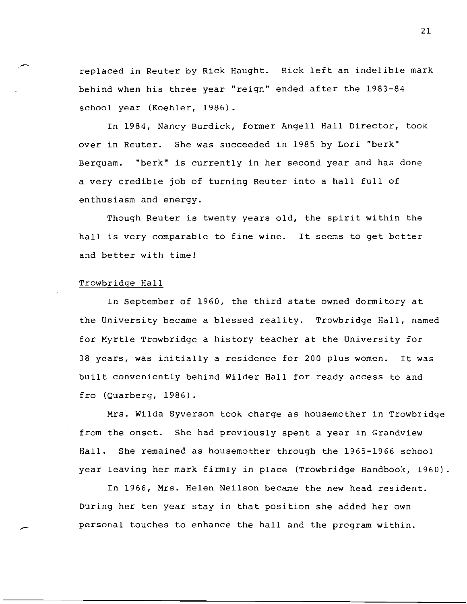replaced in Reuter by Rick Haught. Rick left an indelible mark behind when his three year "reign" ended after the 1983-84 school year (Koehler, 1986).

In 1984, Nancy Burdick, former Angell Hall Director, took over in Reuter. She was succeeded in 1985 by Lori "berk" Berquam. "berk" is currently in her second year and has done a very credible job of turning Reuter into a hall full of enthusiasm and energy.

Though Reuter is twenty years old, the spirit within the hall is very comparable to fine wine. It seems to get better and better with time!

#### Trowbridge Hall

In September of 1960, the third state owned dormitory at the University became a blessed reality. Trowbridge Hall, named for Myrtle Trowbridge a history teacher at the University for 38 years, was initially a residence for 200 plus women. It was built conveniently behind Wilder Hall for ready access to and fro (Quarberg, 1986).

Mrs. Wilda Syverson took charge as housemother in Trowbridge from the onset. She had previously spent a year in Grandview Hall. She remained as housemother through the 1965-1966 school year leaving her mark firmly in place (Trowbridge Handbook, 1960)

In 1966, Mrs. Helen Neilson became the new head resident. During her ten year stay in that position she added her own personal touches to enhance the hall and the program within.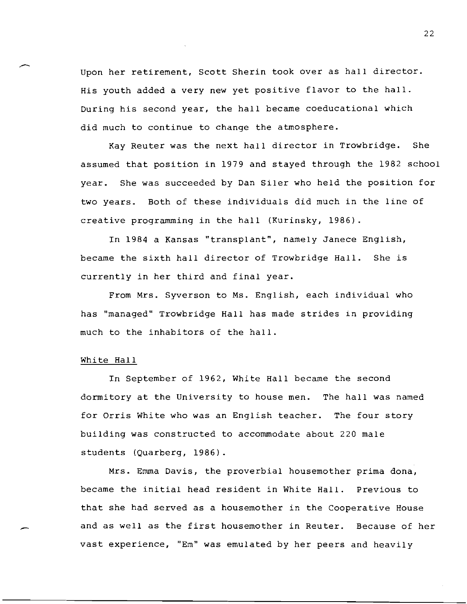Upon her retirement, Scott Sherin took over as hall director. His youth added a very new yet positive flavor to the hall. During his second year, the hall became coeducational which did much to continue to change the atmosphere.

Kay Reuter was the next hall director in Trowbridge. She assumed that position in 1979 and stayed through the 1982 school year. She was succeeded by Dan Siler who held the position for two years. Both of these individuals did much in the line of creative programming in the hall (Kurinsky, 1986).

In 1984 a Kansas "transplant", namely Janece English, became the sixth hall director of Trowbridge Hall. She is currently in her third and final year.

From Mrs. Syverson to Ms. English, each individual who has "managed" Trowbridge Hall has made strides in providing much to the inhabitors of the hall.

#### White Hall

In September of 1962, White Hall became the second dormitory at the University to house men. The hall was named for Orris White who was an English teacher. The four story building was constructed to accommodate about 220 male students (Quarberg, 1986).

Mrs. Emma Davis, the proverbial housemother prima dona, became the initial head resident in White Hall. Previous to that she had served as a housemother in the Cooperative House and as well as the first housemother in Reuter. Because of her vast experience, "Em" was emulated by her peers and heavily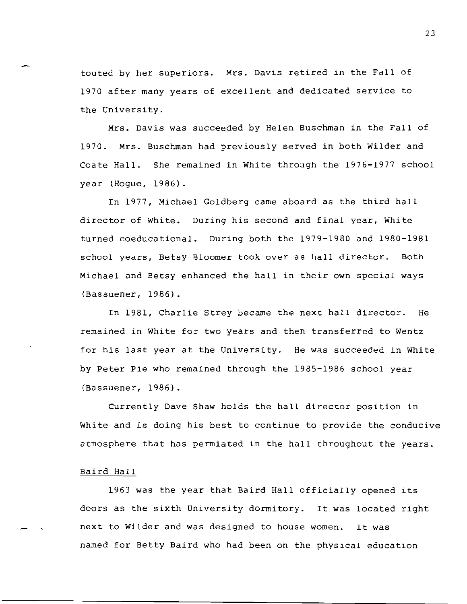touted by her superiors. Mrs. Davis retired in the Fall of 1970 after many years of excellent and dedicated service to the University.

Mrs. Davis was succeeded by Helen Buschman in the Fall of 1970. Mrs. Buschman had previously served in both Wilder and Coate Hall. She remained in White through the 1976-1977 school year (Hogue, 1986).

In 1977, Michael GOldberg came aboard as the third hall director of White. During his second and final year, White turned coeducational. During both the 1979-1980 and 1980-1981 school years, Betsy Bloomer took over as hall director. Both Michael and Betsy enhanced the hall in their own special ways (Bassuener, 1986).

In 1981, Charlie Strey became the next hall director. He remained in White for two years and then transferred to Wentz for his last year at the University. He was succeeded in White by Peter Pie who remained through the 1985-1986 school year (Bassuener, 1986).

Currently Dave Shaw hOlds the hall director position in White and is doing his best to continue to provide the conducive atmosphere that has permiated in the hall throughout the years.

#### Baird Hall

1963 was the year that Baird Hall officially opened its doors as the sixth University dormitory. It was located right next to Wilder and was designed to house women. It was named for Betty Baird who had been on the physical education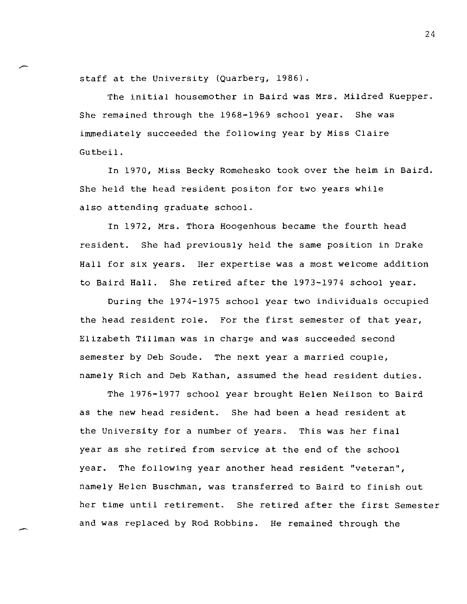staff at the University (Quarberg, 1986).

The initial housemother in Baird was Mrs. Mildred Kuepper. She remained through the 1968-1969 school year. She was immediately succeeded the fOllowing year by Miss Claire Gutbeil.

In 1970, Miss Becky Romehesko took over the helm in Baird. She held the head resident positon for two years while also attending graduate school.

In 1972, Mrs. Thora Hoogenhous became the fourth head resident. She had previously held the same position in Drake Hall for six years. Her expertise was a most welcome addition to Baird Hall. She retired after the 1973-1974 school year.

During the 1974-1975 school year two individuals occupied the head resident role. For the first semester of that year, Elizabeth Tillman was in charge and was succeeded second semester by Deb Soude. The next year a married couple, namely Rich and Deb Kathan, assumed the head resident duties.

The 1976-1977 school year brought Helen Neilson to Baird as the new head resident. She had been a head resident at the University for a number of years. This was her final year as she retired from service at the end of the school year. The following year another head resident "veteran", namely Helen Buschman, was transferred to Baird to finish out her time until retirement. She retired after the first Semester and was replaced by Rod Robbins. He remained through the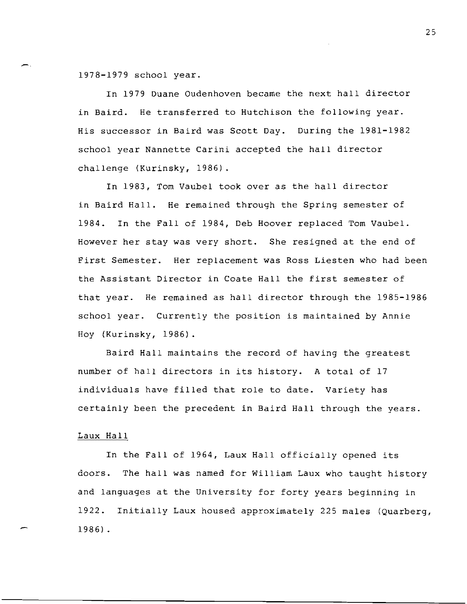1978-1979 school year.

In 1979 Duane Oudenhoven became the next hall director in Baird. He transferred to Hutchison the following year. His successor in Baird was Scott Day. During the 1981-1982 school year Nannette Carini accepted the hall director challenge (Kurinsky, 1986).

In 1983, Tom Vaubel took over as the hall director in Baird Hall. He remained through the Spring semester of 1984. In the Fall of 1984, Deb Hoover replaced Tom Vaubel. However her stay was very short. She resigned at the end of First Semester. Her replacement was Ross Liesten who had been the Assistant Director in Coate Hall the first semester of that year. He remained as hall director through the 1985-1986 school year. Currently the position is maintained by Annie Hoy (Kurinsky, 1986).

Baird Hall maintains the record of having the greatest number of hall directors in its history. A total of 17 individuals have filled that role to date. Variety has certainly been the precedent in Baird Hall through the years.

#### Laux Hall

In the Fall of 1964, Laux Hall officially opened its doors. The hall was named for William Laux who taught history and languages at the University for forty years beginning in 1922. Initially Laux housed approximately 225 males (Quarberg, 1986) .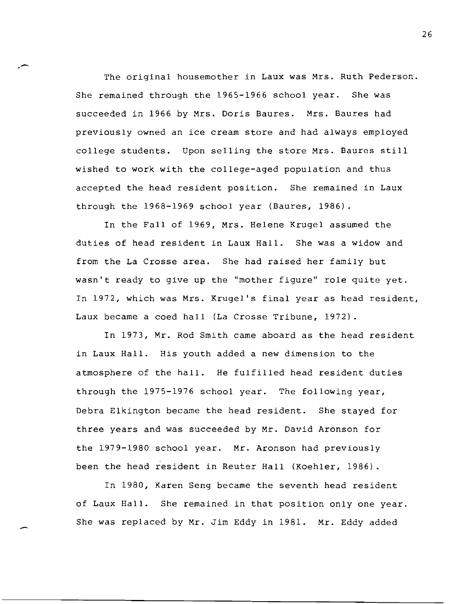The original housemother in Laux was Mrs. Ruth Pederson. She remained through the 1965-1966 school year. She was succeeded in 1966 by Mrs. Doris Baures. Mrs. Baures had previously owned an ice cream store and had always employed college students. Upon selling the store Mrs. Baures still wished to work with the college-aged population and thus accepted the head resident position. She remained in Laux through the 1968-1969 school year (Baures, 1986).

In the Fall of 1969, Mrs. Helene Krugel assumed the duties of head resident in Laux Hall. She was a widow and from the La Crosse area. She had raised her family but wasn't ready to give up the "mother figure" role quite yet. In 1972, which was Mrs. Krugel's final year as head resident, Laux became a coed hall (La Crosse Tribune, 1972).

In 1973, Mr. Rod Smith came aboard as the head resident in Laux Hall. His youth added a new dimension to the atmosphere of the hall. He fulfilled head resident duties through the 1975-1976 school year. The following year, Debra Elkington became the head resident. She stayed for three years and was succeeded by Mr. David Aronson for the 1979-1980 school year. Mr. Aronson had previously been the head resident in Reuter Hall (Koehler, 1986).

In 1980, Karen Seng became the seventh head resident of Laux Hall. She remained in that position only one year. She was replaced by Mr. Jim Eddy in 1981. Mr. Eddy added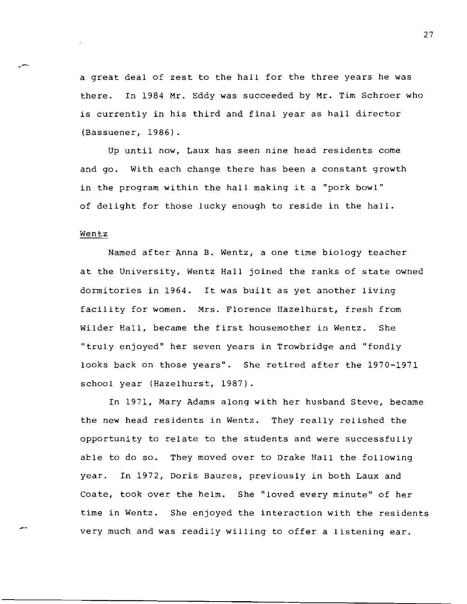a great deal of zest to the hall for the three years he was there. In 1984 Mr. Eddy was succeeded by Mr. Tim Schroer who is currently in his third and final year as hall director (Bassuener, 1986).

Up until now, Laux has seen nine head residents come and go. With each change there has been a constant growth in the program within the hall making it a "pork bowl" of delight for those lucky enough to reside in the hall.

#### Wentz

--

Named after Anna B. Wentz, a one time biology teacher at the University, Wentz Hall joined the ranks of state owned dormitories in 1964. It was built as yet another living facility for women. Mrs. Florence Hazelhurst, fresh from Wilder Hall, became the first housemother in Wentz. She "truly enjoyed" her seven years in Trowbridge and "fondly looks back on those years". She retired after the 1970-1971 school year (Hazelhurst, 1987).

In 1971, Mary Adams along with her husband Steve, became the new head residents in Wentz. They really relished the opportunity to relate to the students and were successfully able to do so. They moved over to Drake Hall the following year. In 1972, Doris Baures, previously in both Laux and Coate, took over the helm. She "loved every minute" of her time in Wentz. She enjoyed the interaction with the residents very much and was readily willing to offer a listening ear.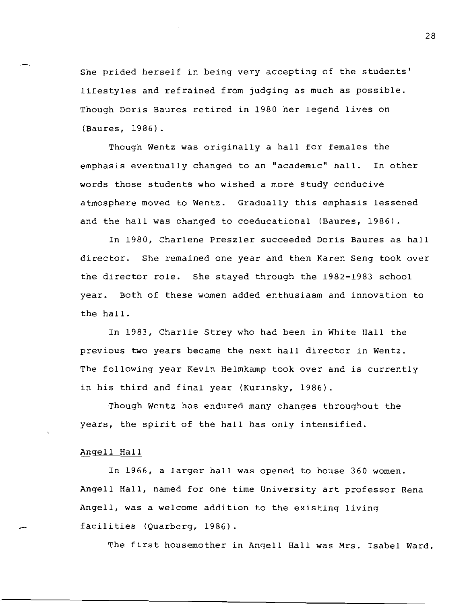She prided herself in being very accepting of the students' lifestyles and refrained from judging as much as possible. Though Doris Baures retired in 1980 her legend lives on (Baures, 1986).

Though Wentz was originally a hall for females the emphasis eventually changed to an "academic" hall. In other words those students who wished a more study conducive atmosphere moved to Wentz. Gradually this emphasis lessened and the hall was changed to coeducational (Baures, 1986).

In 1980, Charlene Preszler succeeded Doris Baures as hall director. She remained one year and then Karen Seng took over the director role. She stayed through the 1982-1983 school year. Both of these women added enthusiasm and innovation to the hall.

In 1983, Charlie Strey who had been in White Hall the previous two years became the next hall director in Wentz. The following year Kevin Helmkamp took over and is currently in his third and final year (Kurinsky, 1986).

Though Wentz has endured many changes throughout the years, the spirit of the hall has only intensified.

#### Angell Hall

In 1966, a larger hall was opened to house 360 women. Angell Hall, named for one time University art professor Rena Angell, was a welcome addition to the existing living facilities (Quarberg, 1986).

The first housemother in Angell Hall was Mrs. Isabel Ward.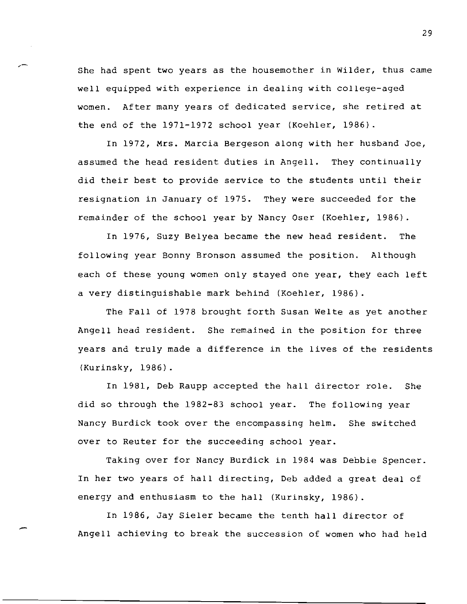She had spent two years as the housemother in Wilder, thus came well equipped with experience in dealing with college-aged women. After many years of dedicated service, she retired at the end of the 1971-1972 school year (Koehler, 1986).

In 1972, Mrs. Marcia Bergeson along with her husband Joe, assumed the head resident duties in Angell. They continually did their best to provide service to the students until their resignation in January of 1975. They were succeeded for the remainder of the school year by Nancy Oser (Koehler, 1986).

In 1976, Suzy Belyea became the new head resident. The following year Bonny Bronson assumed the position. Although each of these young women only stayed one year, they each left a very distinguishable mark behind (Koehler, 1986).

The Fall of 1978 brought forth Susan Welte as yet another Angell head resident. She remained in the position for three years and truly made a difference in the lives of the residents (Kurinsky, 1986).

In 1981, Deb Raupp accepted the hall director role. She did so through the 1982-83 school year. The following year Nancy Burdick took over the encompassing helm. She switched over to Reuter for the succeeding school year.

Taking over for Nancy Burdick in 1984 was Debbie Spencer. In her two years of hall directing, Deb added a great deal of energy and enthusiasm to the hall (Kurinsky, 1986).

In 1986, Jay Sieler became the tenth hall director of Angell achieving to break the succession of women who had held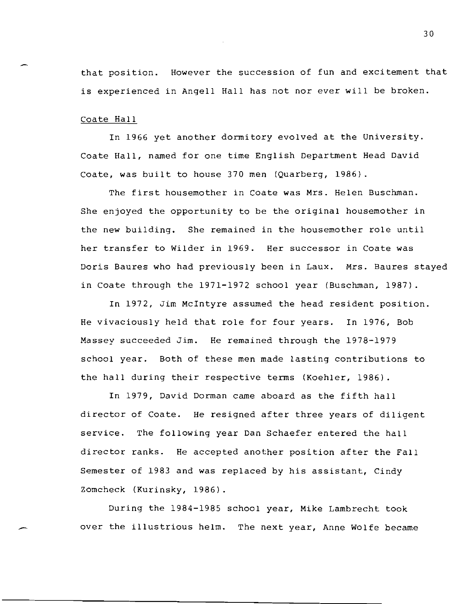that position. However the succession of fun and excitement that is experienced in Angell Hall has not nor ever will be broken.

Coate Hall

In 1966 yet another dormitory evolved at the University. Coate Hall, named for one time English Department Head David Coate, was built to house 370 men (Quarberg, 1986).

The first housemother in Coate was Mrs. Helen Buschman. She enjoyed the opportunity to be the original housemother in the new building. She remained in the housemother role until her transfer to Wilder in 1969. Her successor in Coate was Doris Baures who had previously been in Laux. Mrs. Baures stayed in Coate through the 1971-1972 school year (Buschman, 1987).

In 1972, Jim McIntyre assumed the head resident position. He vivaciously held that role for four years. In 1976, Bob Massey succeeded Jim. He remained through the 1978-1979 school year. Both of these men made lasting contributions to the hall during their respective terms (Koehler, 1986).

In 1979, David Dorman came aboard as the fifth hall director of Coate. He resigned after three years of diligent service. The following year Dan Schaefer entered the hall director ranks. He accepted another position after the Fall Semester of 1983 and was replaced by his assistant, Cindy Zomcheck (Kurinsky, 1986).

During the 1984-1985 school year, Mike Lambrecht took over the illustrious helm. The next year, Anne Wolfe became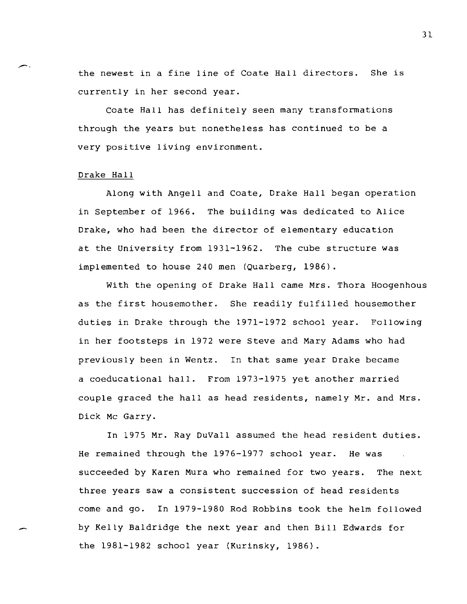the newest in a fine line of Coate Hall directors. She is currently in her second year.

Coate Hall has definitely seen many transformations through the years but nonetheless has continued to be a very positive living environment.

#### Drake Hall

Along with Angell and Coate, Drake Hall began operation in September of 1966. The building was dedicated to Alice Drake, who had been the director of elementary education at the University from 1931-1962. The cube structure was implemented to house 240 men (Quarberg, 1986).

With the opening of Drake Hall came Mrs. Thora Hoogenhous as the first housemother. She readily fulfilled housemother duties in Drake through the 1971-1972 school year. Following in her footsteps in 1972 were Steve and Mary Adams who had previously been in Wentz. In that same year Drake became a coeducational hall. From 1973-1975 yet another married couple graced the hall as head residents, namely Mr. and Mrs. Dick Me Garry.

In 1975 Mr. Ray DuVall assumed the head resident duties. He remained through the 1976-1977 school year. He was succeeded by Karen Mura who remained for two years. The next three years saw a consistent succession of head residents come and go. In 1979-1980 Rod Robbins took the helm followed by Kelly Baldridge the next year and then Bill Edwards for the 1981-1982 school year (Kurinsky, 1986).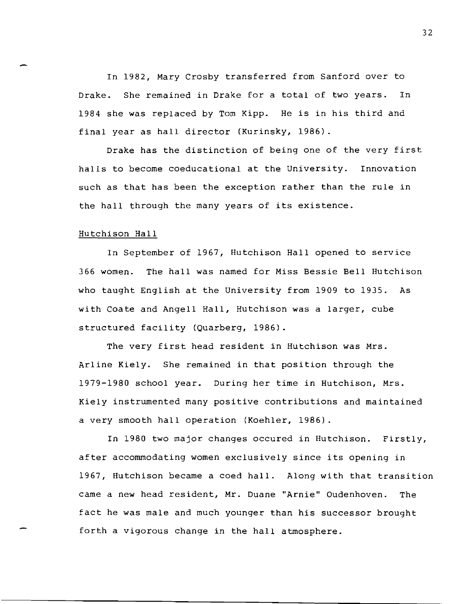In 1982, Mary Crosby transferred from Sanford over to Drake. She remained in Drake for a total of two years. In 1984 she was replaced by Tom Kipp. He is in his third and final year as hall director (Kurinsky, 1986).

Drake has the distinction of being one of the very first halls to become coeducational at the University. Innovation such as that has been the exception rather than the rule in the hall through the many years of its existence.

#### Hutchison Hall

In September of 1967, Hutchison Hall opened to service 366 women. The hall was named for Miss Bessie Bell Hutchison who taught English at the University from 1909 to 1935. As with Coate and Angell Hall, Hutchison was a larger, cube structured facility (Quarberg, 1986).

The very first head resident in Hutchison was Mrs. Arline Kiely. She remained in that position through the 1979-1980 school year. During her time in Hutchison, Mrs. Kiely instrumented many positive contributions and maintained a very smooth hall operation (Koehler, 1986).

In 1980 two major changes occured in Hutchison. Firstly, after accommodating women exclusively since its opening in 1967, Hutchison became a coed hall. Along with that transition came a new head resident, Mr. Duane "Arnie" Oudenhoven. The fact he was male and much younger than his successor brought forth a vigorous change in the hall atmosphere.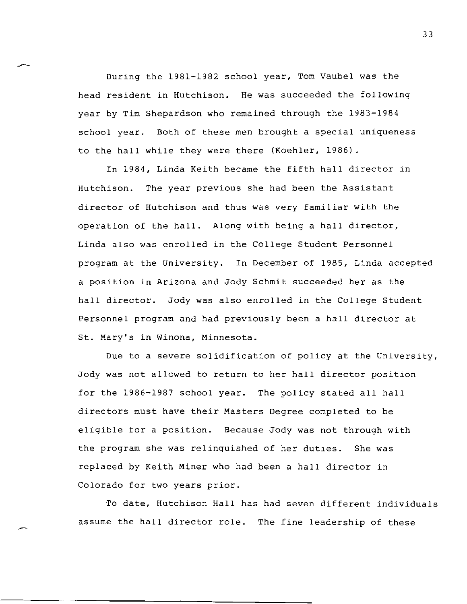During the 1981-1982 school year, Tom Vaubel was the head resident in Hutchison. He was succeeded the following year by Tim Shepardson who remained through the 1983-1984 school year. Both of these men brought a special uniqueness to the hall while they were there (Koehler, 1986).

In 1984, Linda Keith became the fifth hall director in Hutchison. The year previous she had been the Assistant director of Hutchison and thus was very familiar with the operation of the hall. Along with being a hall director, Linda also was enrolled in the College Student Personnel program at the University. In December of 1985, Linda accepted a position in Arizona and Jody Schmit succeeded her as the hall director. Jody was also enrolled in the College Student Personnel program and had previously been a hall director at St. Mary's in Winona, Minnesota.

Due to a severe solidification of policy at the University, Jody was not allowed to return to her hall director position for the 1986-1987 school year. The policy stated all hall directors must have their Masters Degree completed to be eligible for a position. Because Jody was not through with the program she was relinquished of her duties. She was replaced by Keith Miner who had been a hall director in Colorado for two years prior.

To date, Hutchison Hall has had seven different individuals assume the hall director role. The fine leadership of these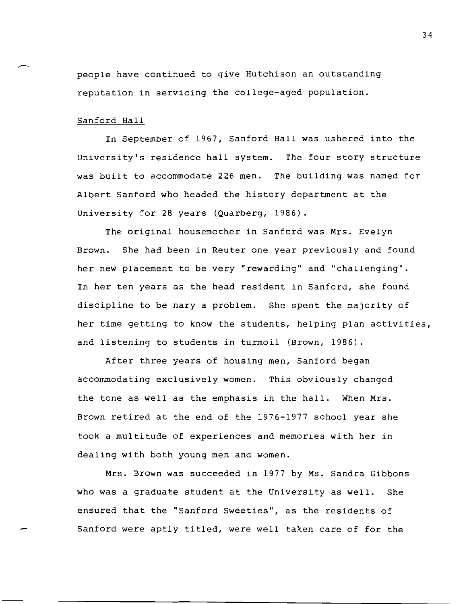people have continued to give Hutchison an outstanding reputation in servicing the college-aged population.

#### Sanford Hall

In September of 1967, Sanford Hall was ushered into the university's residence hall system. The four story structure was built to accommodate 226 men. The building was named for Albert Sanford who headed the history department at the University for 28 years (Quarberg, 1986).

The original housemother in Sanford was Mrs. Evelyn Brown. She had been in Reuter one year previously and found her new placement to be very "rewarding" and "challenging". In her ten years as the head resident in Sanford, she found discipline to be nary a problem. She spent the majority of her time getting to know the students, helping plan activities, and listening to students in turmoil (Brown, 1986).

After three years of housing men, Sanford began accommodating exclusively women. This obviously changed the tone as well as the emphasis in the hall. When Mrs. Brown retired at the end of the 1976-1977 school year she took a multitude of experiences and memories with her in dealing with both young men and women.

Mrs. Brown was succeeded in 1977 by Ms. Sandra Gibbons who was a graduate student at the University as well. She ensured that the "Sanford Sweeties", as the residents of Sanford were aptly titled, were well taken care of for the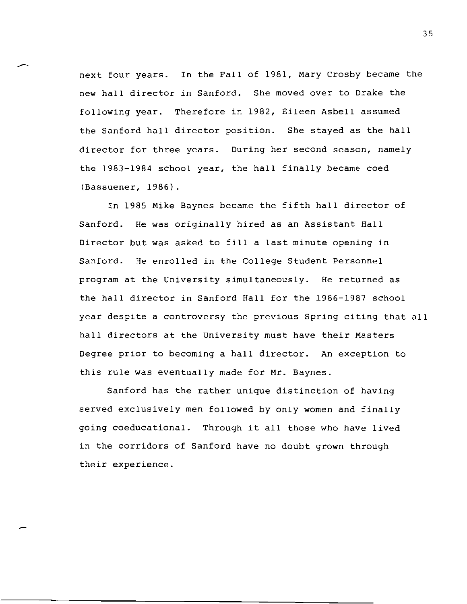next four years. In the Fall of 1981, Mary Crosby became the new hall director in Sanford. She moved over to Drake the following year. Therefore in 1982, Eileen Asbell assumed the Sanford hall director position. She stayed as the hall director for three years. During her second season, namely the 1983-1984 school year, the hall finally became coed (Bassuener, 1986).

In 1985 Mike Baynes became the fifth hall director of Sanford. He was originally hired as an Assistant Hall Director but was asked to fill a last minute opening in Sanford. He enrolled in the College Student Personnel program at the University simultaneously. He returned as the hall director in Sanford Hall for the 1986-1987 school year despite a controversy the previous Spring citing that all hall directors at the University must have their Masters Degree prior to becoming a hall director. An exception to this rule was eventually made for Mr. Baynes.

Sanford has the rather unique distinction of having served exclusively men followed by only women and finally going coeducational. Through it all those who have lived in the corridors of Sanford have no doubt grown through their experience.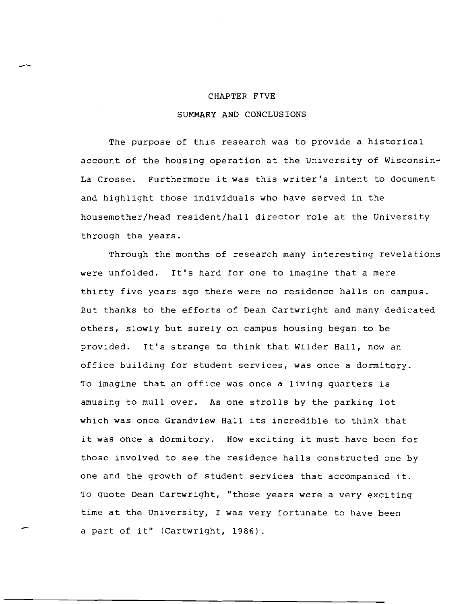#### CHAPTER FIVE

 $\overline{\phantom{0}}$ 

#### SUMMARY AND CONCLUSIONS

The purpose of this research was to provide a historical account of the housing operation at the University of Wisconsin-La Crosse. Furthermore it was this writer's intent to document and highlight those individuals who have served in the housemother/head resident/hall director role at the University through the years.

Through the months of research many interesting revelations were unfolded. It's hard for one to imagine that a mere thirty five years ago there were no residence halls on campus. But thanks to the efforts of Dean Cartwright and many dedicated others, slowly but surely on campus housing began to be provided. It's strange to think that Wilder Hall, now an office building for student services, was once a dormitory. To imagine that an office was once a living quarters is amusing to mull over. As one strolls by the parking lot which was once Grandview Hall its incredible to think that it was once a dormitory. How exciting it must have been for those involved to see the residence halls constructed one by one and the growth of student services that accompanied it. To quote Dean Cartwright, "those years were a very exciting time at the University, I was very fortunate to have been a part of it" (Cartwright, 1986).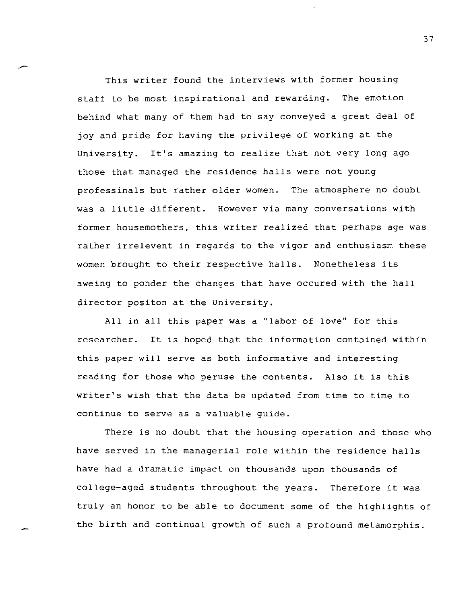This writer found the interviews with former housing staff to be most inspirational and rewarding. The emotion behind what many of them had to say conveyed a great deal of joy and pride for having the privilege of working at the University. It's amazing to realize that not very long ago those that managed the residence halls were not young professinals but rather older women. The atmosphere no doubt was a little different. However via many conversations with former housemothers, this writer realized that perhaps age was rather irrelevent in regards to the vigor and enthusiasm these women brought to their respective halls. Nonetheless its aweing to ponder the changes that have occured with the hall director positon at the University.

All in all this paper was a "labor of love" for this researcher. It is hoped that the information contained within this paper will serve as both informative and interesting reading for those who peruse the contents. Also it is this writer's wish that the data be updated from time to time to continue to serve as a valuable guide.

There is no doubt that the housing operation and those who have served in the managerial role within the residence halls have had a dramatic impact on thousands upon thousands of college-aged students throughout the years. Therefore it was truly an honor to be able to document some of the highlights of the birth and continual growth of such a profound metamorphis.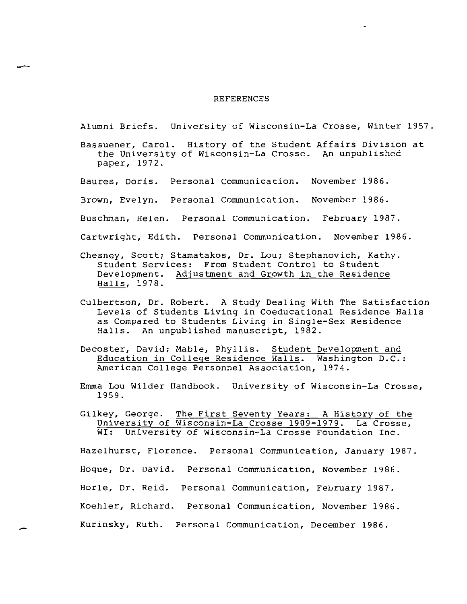#### REFERENCES

Alumni Briefs. University of Wisconsin-La Crosse, Winter 1957.

Bassuener, Carol. History of the Student Affairs Division at the University of Wisconsin-La Crosse. An unpublished paper, 1972.

Baures, Doris. Personal Communication. November 1986.

Brown, Evelyn. Personal Communication. November 1986.

- Buschman, Helen. Personal Communication. February 1987.
- Cartwright, Edith. Personal Communication. November 1986.
- Chesney, Scott; Stamatakos, Dr. Lou; Stephanovich, Kathy. Student Services: From Student Control to Student Development. Adjustment and Growth in the Residence Halls, 1978.
- CUlbertson, Dr. Robert. A Study Dealing With The Satisfaction Levels of Students Living in Coeducational Residence Halls as Compared to Students Living in Single-Sex Residence Halls. An unpublished manuscript, 1982.
- Decoster, David; Mable, Phyllis. Student Development and Education in College Residence Halls. Washington D.C.: American college Personnel Association, 1974.
- Emma Lou Wilder Handbook. University of Wisconsin-La Crosse, 1959.
- Gilkey, George. The First Seventy Years: A History of the University of Wisconsin-La Crosse 1909-1979. La Crosse,<br>WI: University of Wisconsin-La Crosse Foundation Inc. University of Wisconsin-La Crosse Foundation Inc.

Hazelhurst, Florence. Personal Communication, January 1987. Hogue, Dr. David. Personal Communication, November 1986. Horle, Dr. Reid. Personal Communication, February 1987. Koehler, Richard. Personal Communication, November 1986. Kurinsky, Ruth. Personal Communication, December 1986.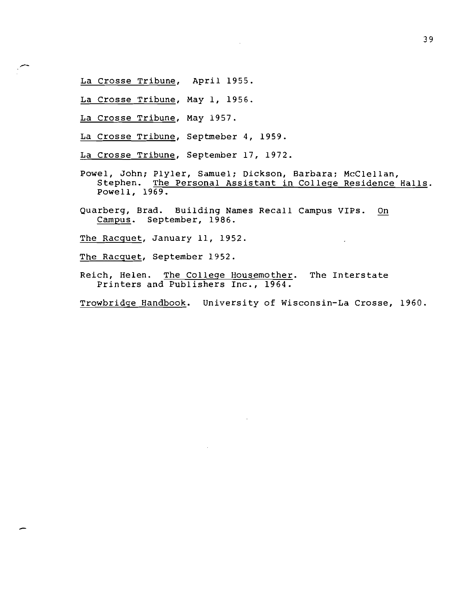- La Crosse Tribune, April 1955.
- La Crosse Tribune, May 1, 1956.
- La Crosse Tribune, May 1957.
- La Crosse Tribune, Septmeber 4, 1959.
- La Crosse Tribune, September 17, 1972.
- Powel, John; Plyler, Samuel; Dickson, Barbara: McClellan, Stephen. The Personal Assistant *in* College Residence Halls. Powell, 1969.
- Quarberg, Brad. Building Names Recall Campus VIPs. On Campus. September, 1986.
- The Racguet, January 11, 1952.
- The Racguet, September 1952.
- Reich, Helen. The College Housemother. The Interstate Printers and Publishers Inc., 1964.

Trowbridge Handbook. University of Wisconsin-La Crosse, 1960.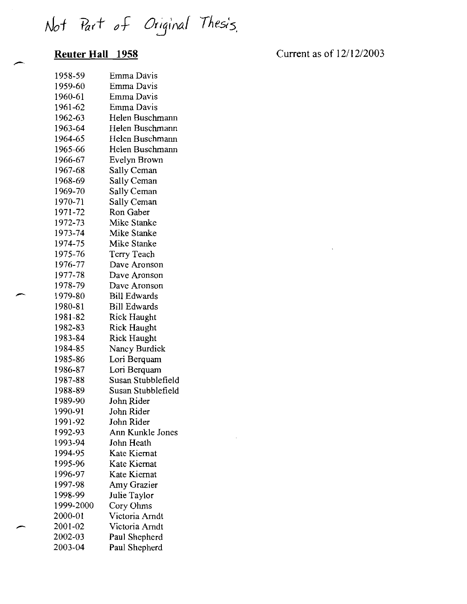Not Part of Original Thesis.

## **Reuter Hall 1958**

Current as of 12/12/2003

 $\hat{\mathbf{v}}$ 

| 1958-59   | Emma Davis          |
|-----------|---------------------|
| 1959-60   | Emma Davis          |
| 1960-61   | Emma Davis          |
| 1961-62   | Emma Davis          |
| 1962-63   | Helen Buschmann     |
| 1963-64   | Helen Buschmann     |
| 1964-65   | Helen Buschmann     |
| 1965-66   | Helen Buschmann     |
| 1966-67   | Evelyn Brown        |
| 1967-68   | Sally Ceman         |
| 1968-69   | Sally Ceman         |
| 1969-70   | Sally Ceman         |
| 1970-71   | Sally Ceman         |
| 1971-72   | Ron Gaber           |
| 1972-73   | Mike Stanke         |
| 1973-74   | Mike Stanke         |
| 1974-75   | Mike Stanke         |
| 1975-76   | Terry Teach         |
| 1976-77   | Dave Aronson        |
| 1977-78   | Dave Aronson        |
| 1978-79   | Dave Aronson        |
| 1979-80   | <b>Bill Edwards</b> |
| 1980-81   | <b>Bill Edwards</b> |
| 1981-82   | Rick Haught         |
| 1982-83   | <b>Rick Haught</b>  |
| 1983-84   | <b>Rick Haught</b>  |
| 1984-85   | Nancy Burdick       |
| 1985-86   | Lori Berquam        |
| 1986-87   | Lori Berquam        |
| 1987-88   | Susan Stubblefield  |
| 1988-89   | Susan Stubblefield  |
| 1989-90   | John Rider          |
| 1990-91   | John Rider          |
| 1991-92   | John Rider          |
| 1992-93   | Ann Kunkle Jones    |
| 1993-94   | John Heath          |
| 1994-95   | Kate Kiernat        |
| 1995-96   | Kate Kiernat        |
| 1996-97   | Kate Kiernat        |
| 1997-98   | Amy Grazier         |
| 1998-99   | Julie Taylor        |
| 1999-2000 | Cory Ohms           |
| 2000-01   | Victoria Arndt      |
| 2001-02   | Victoria Arndt      |
| 2002-03   | Paul Shepherd       |
| 2003-04   | Paul Shepherd       |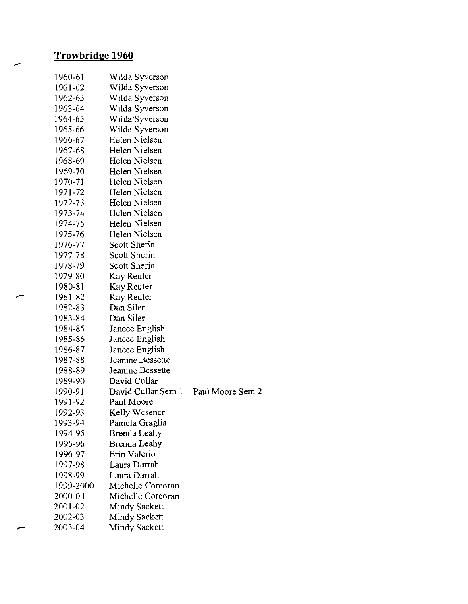## **Trowbridge 1960**

| 1960-61   | Wilda Syverson       |                  |
|-----------|----------------------|------------------|
| 1961-62   | Wilda Syverson       |                  |
| 1962-63   | Wilda Syverson       |                  |
| 1963-64   | Wilda Syverson       |                  |
| 1964-65   | Wilda Syverson       |                  |
| 1965-66   | Wilda Syverson       |                  |
| 1966-67   | Helen Nielsen        |                  |
| 1967-68   | Helen Nielsen        |                  |
| 1968-69   | Helen Nielsen        |                  |
| 1969-70   | Helen Nielsen        |                  |
| 1970-71   | Helen Nielsen        |                  |
| 1971-72   | Helen Nielsen        |                  |
| 1972-73   | Helen Nielsen        |                  |
| 1973-74   | Helen Nielsen        |                  |
| 1974-75   | Helen Nielsen        |                  |
| 1975-76   | Helen Nielsen        |                  |
| 1976-77   | Scott Sherin         |                  |
| 1977-78   | <b>Scott Sherin</b>  |                  |
| 1978-79   | Scott Sherin         |                  |
| 1979-80   | Kay Reuter           |                  |
| 1980-81   | Kay Reuter           |                  |
| 1981-82   | Kay Reuter           |                  |
| 1982-83   | Dan Siler            |                  |
| 1983-84   | Dan Siler            |                  |
| 1984-85   | Janece English       |                  |
| 1985-86   | Janece English       |                  |
| 1986-87   | Janece English       |                  |
| 1987-88   | Jeanine Bessette     |                  |
| 1988-89   | Jeanine Bessette     |                  |
| 1989-90   | David Cullar         |                  |
| 1990-91   | David Cullar Sem 1   | Paul Moore Sem 2 |
| 1991-92   | Paul Moore           |                  |
| 1992-93   | Kelly Wesener        |                  |
| 1993-94   | Pamela Graglia       |                  |
| 1994-95   | Brenda Leahy         |                  |
| 1995-96   | Brenda Leahy         |                  |
| 1996-97   | Erin Valerio         |                  |
| 1997-98   | Laura Darrah         |                  |
| 1998-99   | Laura Darrah         |                  |
| 1999-2000 | Michelle Corcoran    |                  |
| 2000-01   | Michelle Corcoran    |                  |
| 2001-02   | <b>Mindy Sackett</b> |                  |
| 2002-03   | <b>Mindy Sackett</b> |                  |
| 2003-04   | <b>Mindy Sackett</b> |                  |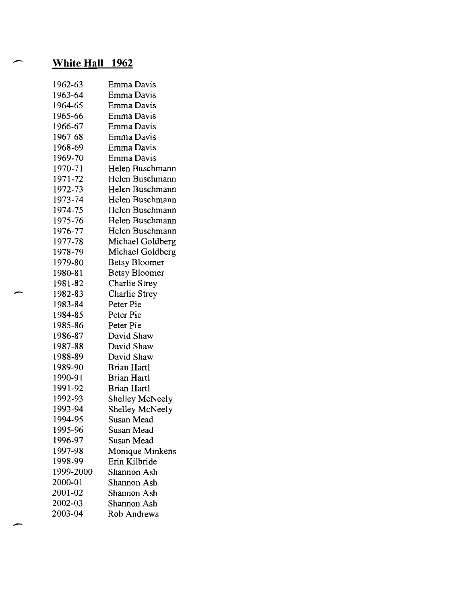## **White Hall 1962**

| 1962-63   | Emma Davis           |
|-----------|----------------------|
| 1963-64   | Emma Davis           |
| 1964-65   | Emma Davis           |
| 1965-66   | Emma Davis           |
| 1966-67   | Emma Davis           |
| 1967-68   | Emma Davis           |
| 1968-69   | Emma Davis           |
| 1969-70   | Emma Davis           |
| 1970-71   | Helen Buschmann      |
| 1971-72   | Helen Buschmann      |
| 1972-73   | Helen Buschmann      |
| 1973-74   | Helen Buschmann      |
| 1974-75   | Helen Buschmann      |
| 1975-76   | Helen Buschmann      |
| 1976-77   | Helen Buschmann      |
| 1977-78   | Michael Goldberg     |
| 1978-79   | Michael Goldberg     |
| 1979-80   | <b>Betsy Bloomer</b> |
| 1980-81   | <b>Betsy Bloomer</b> |
| 1981-82   | Charlie Strey        |
| 1982-83   | <b>Charlie Strey</b> |
| 1983-84   | Peter Pie            |
| 1984-85   | Peter Pie            |
| 1985-86   | Peter Pie            |
| 1986-87   | David Shaw           |
| 1987-88   | David Shaw           |
| 1988-89   | David Shaw           |
| 1989-90   | Brian Hartl          |
| 1990-91   | Brian Hartl          |
| 1991-92   | Brian Hartl          |
| 1992-93   | Shelley McNeely      |
| 1993-94   | Shelley McNeely      |
| 1994-95   | Susan Mead           |
| 1995-96   | Susan Mead           |
| 1996-97   | Susan Mead           |
| 1997-98   | Monique Minkens      |
| 1998-99   | Erin Kilbride        |
| 1999-2000 | Shannon Ash          |
| 2000-01   | Shannon Ash          |
| 2001-02   | Shannon Ash          |
| 2002-03   | Shannon Ash          |
| 2003-04   | <b>Rob Andrews</b>   |

 $\sim$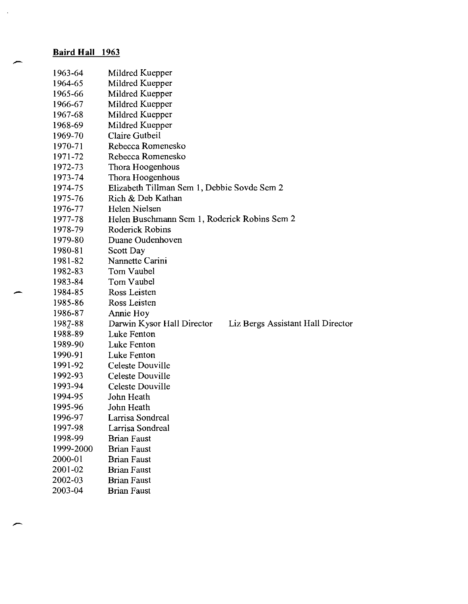## **Baird Hall 1963**

| 1963-64   | Mildred Kuepper                                                 |
|-----------|-----------------------------------------------------------------|
| 1964-65   | Mildred Kuepper                                                 |
| 1965-66   | Mildred Kuepper                                                 |
| 1966-67   | Mildred Kuepper                                                 |
| 1967-68   | Mildred Kuepper                                                 |
| 1968-69   | Mildred Kuepper                                                 |
| 1969-70   | Claire Gutbeil                                                  |
| 1970-71   | Rebecca Romenesko                                               |
| 1971-72   | Rebecca Romenesko                                               |
| 1972-73   | Thora Hoogenhous                                                |
| 1973-74   | Thora Hoogenhous                                                |
| 1974-75   | Elizabeth Tillman Sem 1, Debbie Sovde Sem 2                     |
| 1975-76   | Rich & Deb Kathan                                               |
| 1976-77   | Helen Nielsen                                                   |
| 1977-78   | Helen Buschmann Sem 1, Roderick Robins Sem 2                    |
| 1978-79   | Roderick Robins                                                 |
| 1979-80   | Duane Oudenhoven                                                |
| 1980-81   | Scott Day                                                       |
| 1981-82   | Nannette Carini                                                 |
| 1982-83   | Tom Vaubel                                                      |
| 1983-84   | Tom Vaubel                                                      |
| 1984-85   | Ross Leisten                                                    |
| 1985-86   | Ross Leisten                                                    |
| 1986-87   | Annie Hoy                                                       |
| 1987-88   | Darwin Kysor Hall Director<br>Liz Bergs Assistant Hall Director |
| 1988-89   | Luke Fenton                                                     |
| 1989-90   | Luke Fenton                                                     |
| 1990-91   | Luke Fenton                                                     |
| 1991-92   | Celeste Douville                                                |
| 1992-93   | Celeste Douville                                                |
| 1993-94   | Celeste Douville                                                |
| 1994-95   | John Heath                                                      |
| 1995-96   | John Heath                                                      |
| 1996-97   | Larrisa Sondreal                                                |
| 1997-98   | Larrisa Sondreal                                                |
| 1998-99   | <b>Brian Faust</b>                                              |
| 1999-2000 | <b>Brian Faust</b>                                              |
| 2000-01   | <b>Brian Faust</b>                                              |
| 2001-02   | <b>Brian Faust</b>                                              |
| 2002-03   | <b>Brian Faust</b>                                              |
| 2003-04   | <b>Brian Faust</b>                                              |

 $\alpha$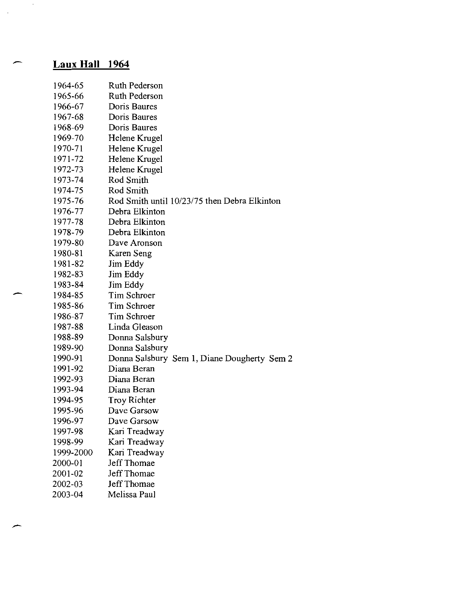## **Laux Hall 1964**

| 1964-65   | <b>Ruth Pederson</b>                         |
|-----------|----------------------------------------------|
| 1965-66   | <b>Ruth Pederson</b>                         |
| 1966-67   | Doris Baures                                 |
| 1967-68   | Doris Baures                                 |
| 1968-69   | Doris Baures                                 |
| 1969-70   | Helene Krugel                                |
| 1970-71   | Helene Krugel                                |
| 1971-72   | Helene Krugel                                |
| 1972-73   | Helene Krugel                                |
| 1973-74   | Rod Smith                                    |
| 1974-75   | Rod Smith                                    |
| 1975-76   | Rod Smith until 10/23/75 then Debra Elkinton |
| 1976-77   | Debra Elkinton                               |
| 1977-78   | Debra Elkinton                               |
| 1978-79   | Debra Elkinton                               |
| 1979-80   | Dave Aronson                                 |
| 1980-81   | Karen Seng                                   |
| 1981-82   | Jim Eddy                                     |
| 1982-83   | Jim Eddy                                     |
| 1983-84   | Jim Eddy                                     |
| 1984-85   | <b>Tim Schroer</b>                           |
| 1985-86   | Tim Schroer                                  |
| 1986-87   | Tim Schroer                                  |
| 1987-88   | Linda Gleason                                |
| 1988-89   | Donna Salsbury                               |
| 1989-90   | Donna Salsbury                               |
| 1990-91   | Donna Salsbury Sem 1, Diane Dougherty Sem 2  |
| 1991-92   | Diana Beran                                  |
| 1992-93   | Diana Beran                                  |
| 1993-94   | Diana Beran                                  |
| 1994-95   | <b>Troy Richter</b>                          |
| 1995-96   | Dave Garsow                                  |
| 1996-97   | Dave Garsow                                  |
| 1997-98   | Kari Treadway                                |
| 1998-99   | Kari Treadway                                |
| 1999-2000 | Kari Treadway                                |
| 2000-01   | Jeff Thomae                                  |
| 2001-02   | Jeff Thomae                                  |
| 2002-03   | Jeff Thomae                                  |
| 2003-04   | Melissa Paul                                 |

- 
- 

 $\hat{\boldsymbol{\beta}}$ 

 $\mathcal{A}$ 

- 
-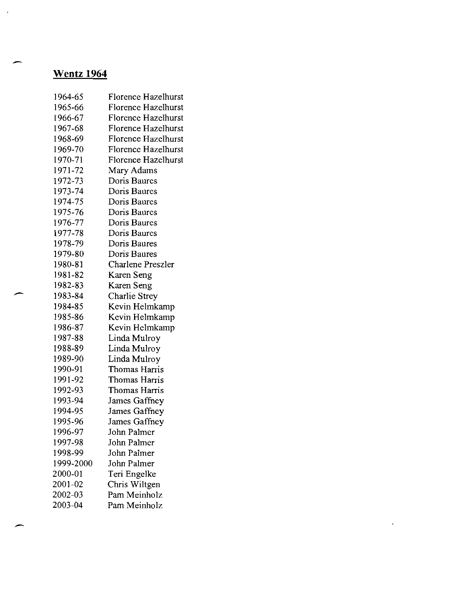# **Wentz 1964**

| 1964-65   | Florence Hazelhurst        |
|-----------|----------------------------|
| 1965-66   | Florence Hazelhurst        |
| 1966-67   | <b>Florence Hazelhurst</b> |
| 1967-68   | <b>Florence Hazelhurst</b> |
| 1968-69   | Florence Hazelhurst        |
| 1969-70   | <b>Florence Hazelhurst</b> |
| 1970-71   | <b>Florence Hazelhurst</b> |
| 1971-72   | Mary Adams                 |
| 1972-73   | Doris Baures               |
| 1973-74   | Doris Baures               |
| 1974-75   | Doris Baures               |
| 1975-76   | Doris Baures               |
| 1976-77   | Doris Baures               |
| 1977-78   | Doris Baures               |
| 1978-79   | Doris Baures               |
| 1979-80   | Doris Baures               |
| 1980-81   | Charlene Preszler          |
| 1981-82   | Karen Seng                 |
| 1982-83   | Karen Seng                 |
| 1983-84   | <b>Charlie Strey</b>       |
| 1984-85   | Kevin Helmkamp             |
| 1985-86   | Kevin Helmkamp             |
| 1986-87   | Kevin Helmkamp             |
| 1987-88   | Linda Mulroy               |
| 1988-89   | Linda Mulroy               |
| 1989-90   | Linda Mulroy               |
| 1990-91   | Thomas Harris              |
| 1991-92   | Thomas Harris              |
| 1992-93   | Thomas Harris              |
| 1993-94   | James Gaffney              |
| 1994-95   | James Gaffney              |
| 1995-96   | James Gaffney              |
| 1996-97   | John Palmer                |
| 1997-98   | John Palmer                |
| 1998-99   | John Palmer                |
| 1999-2000 | John Palmer                |
| 2000-01   | Teri Engelke               |
| 2001-02   | Chris Wiltgen              |
| 2002-03   | Pam Meinholz               |
| 2003-04   | Pam Meinholz               |

 $\hat{\mathbf{z}}$ 

 $\bar{\alpha}$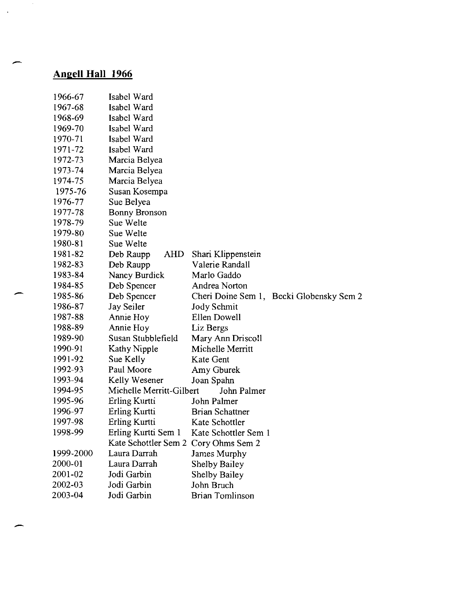# **Angell Hall 1966**

| 1966-67   | Isabel Ward                          |                        |                                          |
|-----------|--------------------------------------|------------------------|------------------------------------------|
| 1967-68   | Isabel Ward                          |                        |                                          |
| 1968-69   | Isabel Ward                          |                        |                                          |
| 1969-70   | Isabel Ward                          |                        |                                          |
| 1970-71   | Isabel Ward                          |                        |                                          |
| 1971-72   | Isabel Ward                          |                        |                                          |
| 1972-73   | Marcia Belyea                        |                        |                                          |
| 1973-74   | Marcia Belyea                        |                        |                                          |
| 1974-75   | Marcia Belyea                        |                        |                                          |
| 1975-76   | Susan Kosempa                        |                        |                                          |
| 1976-77   | Sue Belyea                           |                        |                                          |
| 1977-78   | <b>Bonny Bronson</b>                 |                        |                                          |
| 1978-79   | Sue Welte                            |                        |                                          |
| 1979-80   | Sue Welte                            |                        |                                          |
| 1980-81   | Sue Welte                            |                        |                                          |
| 1981-82   | AHD<br>Deb Raupp                     | Shari Klippenstein     |                                          |
| 1982-83   | Deb Raupp                            | Valerie Randall        |                                          |
| 1983-84   | Nancy Burdick                        | Marlo Gaddo            |                                          |
| 1984-85   | Deb Spencer                          | Andrea Norton          |                                          |
| 1985-86   | Deb Spencer                          |                        | Cheri Doine Sem 1, Becki Globensky Sem 2 |
| 1986-87   | Jay Seiler                           | Jody Schmit            |                                          |
| 1987-88   | Annie Hoy                            | Ellen Dowell           |                                          |
| 1988-89   | Annie Hoy                            | Liz Bergs              |                                          |
| 1989-90   | Susan Stubblefield                   | Mary Ann Driscoll      |                                          |
| 1990-91   | Kathy Nipple                         | Michelle Merritt       |                                          |
| 1991-92   | Sue Kelly                            | Kate Gent              |                                          |
| 1992-93   | Paul Moore                           | Amy Gburek             |                                          |
| 1993-94   | Kelly Wesener                        | Joan Spahn             |                                          |
| 1994-95   | Michelle Merritt-Gilbert             | John Palmer            |                                          |
| 1995-96   | Erling Kurtti                        | John Palmer            |                                          |
| 1996-97   | Erling Kurtti                        | <b>Brian Schattner</b> |                                          |
| 1997-98   | Erling Kurtti                        | Kate Schottler         |                                          |
| 1998-99   | Erling Kurtti Sem 1                  | Kate Schottler Sem 1   |                                          |
|           | Kate Schottler Sem 2 Cory Ohms Sem 2 |                        |                                          |
| 1999-2000 | Laura Darrah                         | James Murphy           |                                          |
| 2000-01   | Laura Darrah                         | <b>Shelby Bailey</b>   |                                          |
| 2001-02   | Jodi Garbin                          | Shelby Bailey          |                                          |
| 2002-03   | Jodi Garbin                          | John Bruch             |                                          |
| 2003-04   | Jodi Garbin                          | <b>Brian Tomlinson</b> |                                          |

 $\sim$ 

 $\mathcal{A}$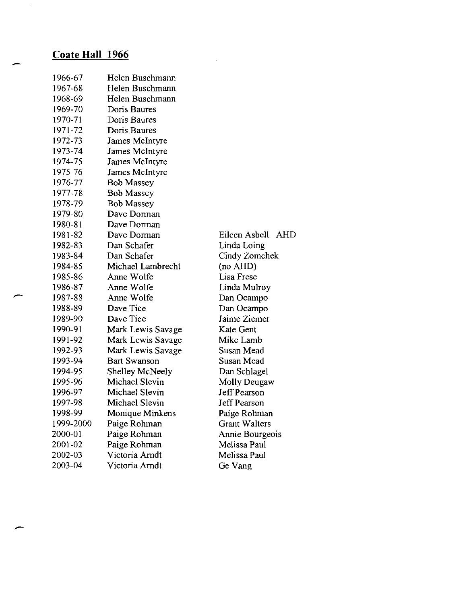# **Coate Hall 1966**

 $\tilde{\mathcal{A}}$ 

| 1966-67   | Helen Buschmann     |                      |
|-----------|---------------------|----------------------|
| 1967-68   | Helen Buschmann     |                      |
| 1968-69   | Helen Buschmann     |                      |
| 1969-70   | Doris Baures        |                      |
| 1970-71   | Doris Baures        |                      |
| 1971-72   | Doris Baures        |                      |
| 1972-73   | James McIntyre      |                      |
| 1973-74   | James McIntyre      |                      |
| 1974-75   | James McIntyre      |                      |
| 1975-76   | James McIntyre      |                      |
| 1976-77   | <b>Bob Massey</b>   |                      |
| 1977-78   | <b>Bob Massey</b>   |                      |
| 1978-79   | <b>Bob Massey</b>   |                      |
| 1979-80   | Dave Dorman         |                      |
| 1980-81   | Dave Dorman         |                      |
| 1981-82   | Dave Dorman         | Eileen Asbell<br>AHD |
| 1982-83   | Dan Schafer         | Linda Loing          |
| 1983-84   | Dan Schafer         | Cindy Zomchek        |
| 1984-85   | Michael Lambrecht   | (no AHD)             |
| 1985-86   | Anne Wolfe          | Lisa Frese           |
| 1986-87   | Anne Wolfe          | Linda Mulroy         |
| 1987-88   | Anne Wolfe          | Dan Ocampo           |
| 1988-89   | Dave Tice           | Dan Ocampo           |
| 1989-90   | Dave Tice           | Jaime Ziemer         |
| 1990-91   | Mark Lewis Savage   | Kate Gent            |
| 1991-92   | Mark Lewis Savage   | Mike Lamb            |
| 1992-93   | Mark Lewis Savage   | Susan Mead           |
| 1993-94   | <b>Bart Swanson</b> | Susan Mead           |
| 1994-95   | Shelley McNeely     | Dan Schlagel         |
| 1995-96   | Michael Slevin      | Molly Deugaw         |
| 1996-97   | Michael Slevin      | Jeff Pearson         |
| 1997-98   | Michael Slevin      | Jeff Pearson         |
| 1998-99   | Monique Minkens     | Paige Rohman         |
| 1999-2000 | Paige Rohman        | <b>Grant Walters</b> |
| 2000-01   | Paige Rohman        | Annie Bourgeois      |
| 2001-02   | Paige Rohman        | Melissa Paul         |
| 2002-03   | Victoria Arndt      | Melissa Paul         |
| 2003-04   | Victoria Arndt      | Ge Vang              |

 $\mathcal{A}^{\mathcal{A}}$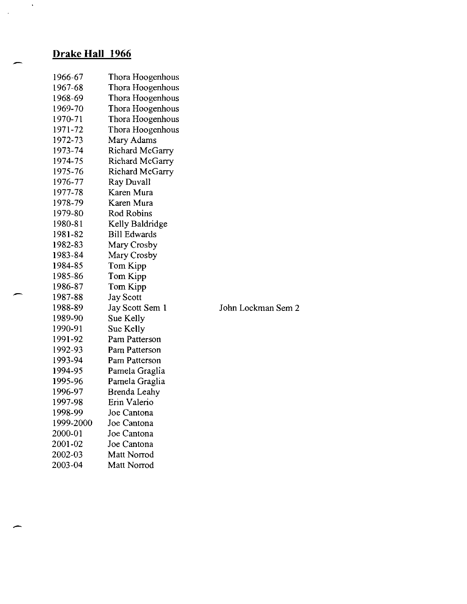## **Drake Hall 1966**

 $\mathcal{A}^{\mathcal{A}}$ 

 $\hat{\mathcal{A}}$ 

| 1966-67   | Thora Hoogenhous    |
|-----------|---------------------|
| 1967-68   | Thora Hoogenhous    |
| 1968-69   | Thora Hoogenhous    |
| 1969-70   | Thora Hoogenhous    |
| 1970-71   | Thora Hoogenhous    |
| 1971-72   | Thora Hoogenhous    |
| 1972-73   | Mary Adams          |
| 1973-74   | Richard McGarry     |
| 1974-75   | Richard McGarry     |
| 1975-76   | Richard McGarry     |
| 1976-77   | Ray Duvall          |
| 1977-78   | Karen Mura          |
| 1978-79   | Karen Mura          |
| 1979-80   | <b>Rod Robins</b>   |
| 1980-81   | Kelly Baldridge     |
| 1981-82   | <b>Bill Edwards</b> |
| 1982-83   | Mary Crosby         |
| 1983-84   | Mary Crosby         |
| 1984-85   | Tom Kipp            |
| 1985-86   | Tom Kipp            |
| 1986-87   | Tom Kipp            |
| 1987-88   | Jay Scott           |
| 1988-89   | Jay Scott Sem 1     |
| 1989-90   | Sue Kelly           |
| 1990-91   | Sue Kelly           |
| 1991-92   | Pam Patterson       |
| 1992-93   | Pam Patterson       |
| 1993-94   | Pam Patterson       |
| 1994-95   | Pamela Graglia      |
| 1995-96   | Pamela Graglia      |
| 1996-97   | <b>Brenda Leahy</b> |
| 1997-98   | Erin Valerio        |
| 1998-99   | Joe Cantona         |
| 1999-2000 | Joe Cantona         |
| 2000-01   | Joe Cantona         |
| 2001-02   | Joe Cantona         |
| 2002-03   | Matt Norrod         |
| 2003-04   | Matt Norrod         |

John Lockman Sem 2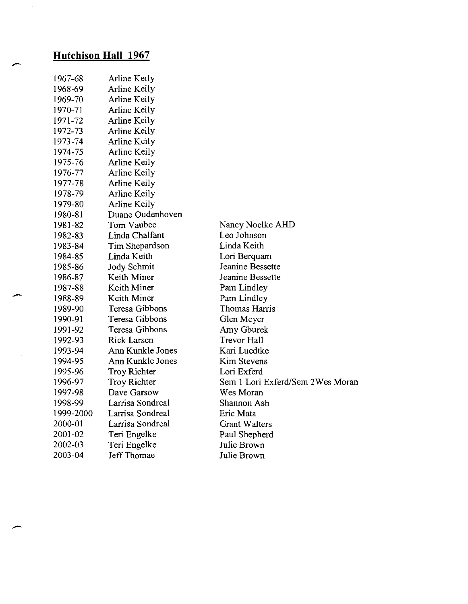# **Hutchison Hall 1967**

| 1967-68   | Arline Keily       |                                   |
|-----------|--------------------|-----------------------------------|
| 1968-69   | Arline Keily       |                                   |
| 1969-70   | Arline Keily       |                                   |
| 1970-71   | Arline Keily       |                                   |
| 1971-72   | Arline Keily       |                                   |
| 1972-73   | Arline Keily       |                                   |
| 1973-74   | Arline Keily       |                                   |
| 1974-75   | Arline Keily       |                                   |
| 1975-76   | Arline Keily       |                                   |
| 1976-77   | Arline Keily       |                                   |
| 1977-78   | Arline Keily       |                                   |
| 1978-79   | Arline Keily       |                                   |
| 1979-80   | Arline Keily       |                                   |
| 1980-81   | Duane Oudenhoven   |                                   |
| 1981-82   | Tom Vaubee         | Nancy Noelke AHD                  |
| 1982-83   | Linda Chalfant     | Leo Johnson                       |
| 1983-84   | Tim Shepardson     | Linda Keith                       |
| 1984-85   | Linda Keith        | Lori Berquam                      |
| 1985-86   | <b>Jody Schmit</b> | Jeanine Bessette                  |
| 1986-87   | Keith Miner        | Jeanine Bessette                  |
| 1987-88   | Keith Miner        | Pam Lindley                       |
| 1988-89   | Keith Miner        | Pam Lindley                       |
| 1989-90   | Teresa Gibbons     | Thomas Harris                     |
| 1990-91   | Teresa Gibbons     | Glen Meyer                        |
| 1991-92   | Teresa Gibbons     | Amy Gburek                        |
| 1992-93   | <b>Rick Larsen</b> | Trevor Hall                       |
| 1993-94   | Ann Kunkle Jones   | Kari Luedtke                      |
| 1994-95   | Ann Kunkle Jones   | <b>Kim Stevens</b>                |
| 1995-96   | Troy Richter       | Lori Exferd                       |
| 1996-97   | Troy Richter       | Sem 1 Lori Exferd/Sem 2 Wes Moran |
| 1997-98   | Dave Garsow        | Wes Moran                         |
| 1998-99   | Larrisa Sondreal   | Shannon Ash                       |
| 1999-2000 | Larrisa Sondreal   | Eric Mata                         |
| 2000-01   | Larrisa Sondreal   | <b>Grant Walters</b>              |
| 2001-02   | Teri Engelke       | Paul Shepherd                     |
| 2002-03   | Teri Engelke       | Julie Brown                       |
| 2003-04   | Jeff Thomae        | Julie Brown                       |

 $\mathcal{L}_{\mathbf{z}}$ 

 $\bar{z}$